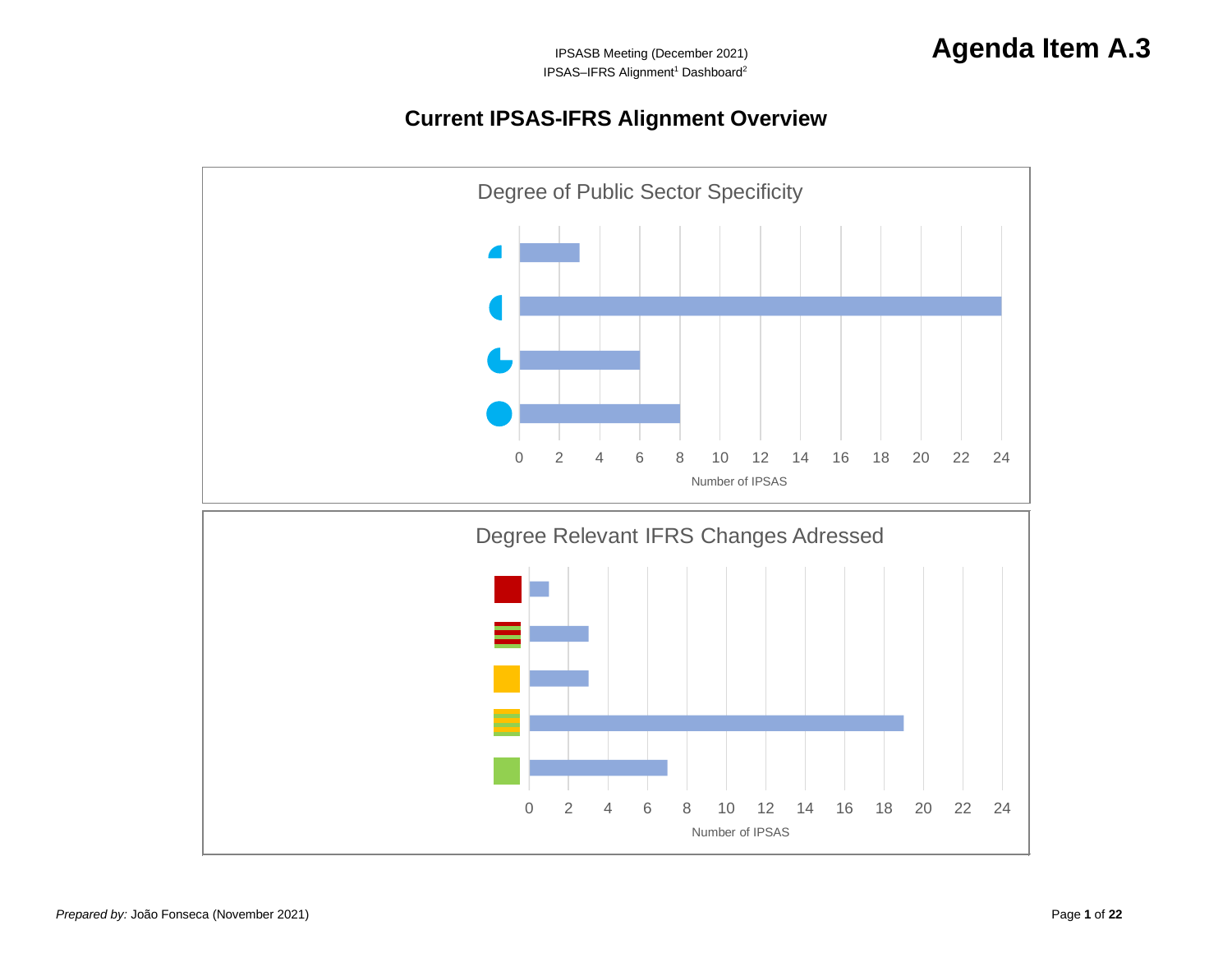# **Current IPSAS-IFRS Alignment Overview**

<span id="page-0-0"></span>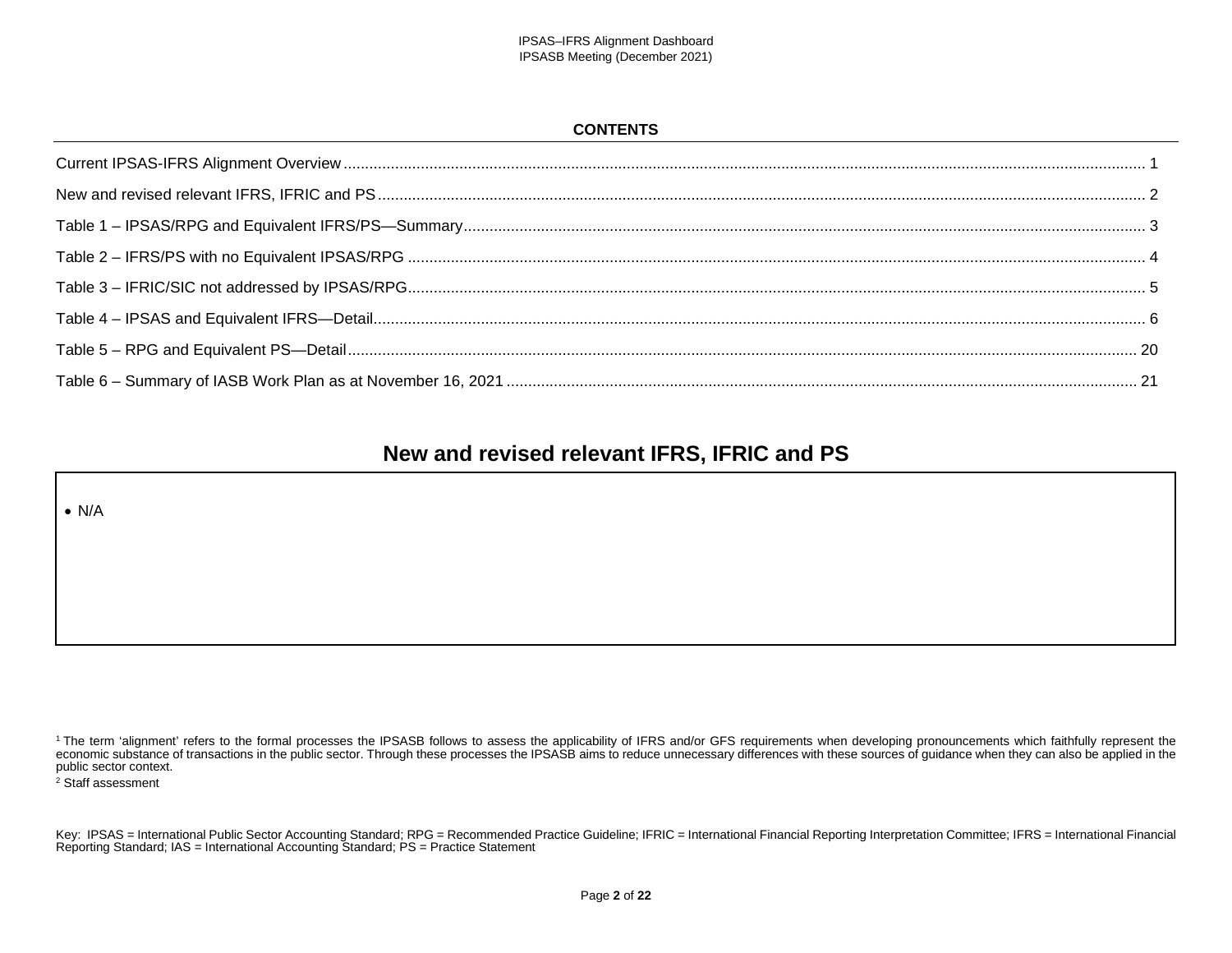#### **CONTENTS**

# **New and revised relevant IFRS, IFRIC and PS**

<span id="page-1-0"></span>• N/A

<sup>2</sup> Staff assessment

<sup>&</sup>lt;sup>1</sup> The term 'alignment' refers to the formal processes the IPSASB follows to assess the applicability of IFRS and/or GFS requirements when developing pronouncements which faithfully represent the economic substance of transactions in the public sector. Through these processes the IPSASB aims to reduce unnecessary differences with these sources of guidance when they can also be applied in the public sector context.

Key: IPSAS = International Public Sector Accounting Standard; RPG = Recommended Practice Guideline; IFRIC = International Financial Reporting Interpretation Committee; IFRS = International Financial Reporting Standard; IAS = International Accounting Standard; PS = Practice Statement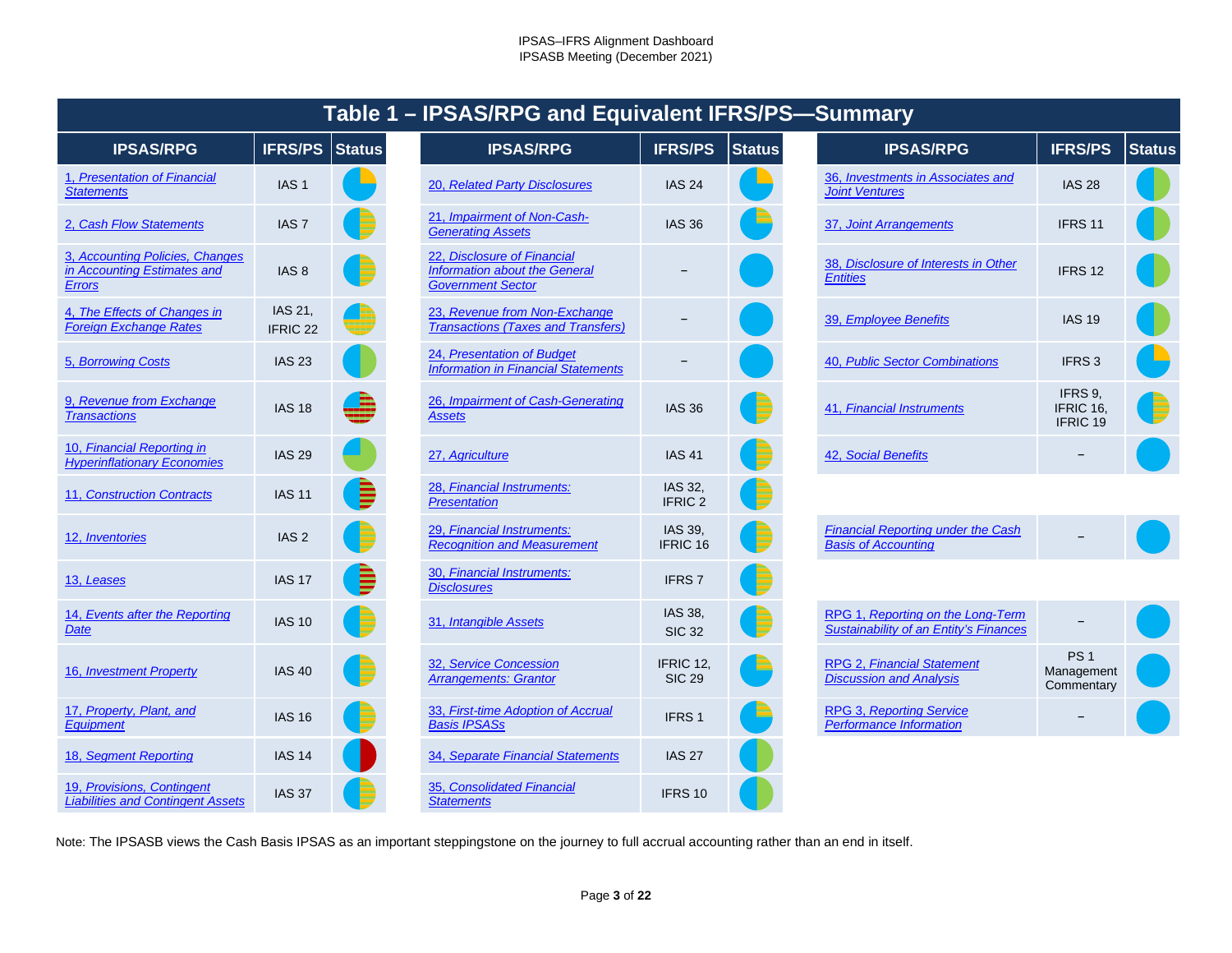<span id="page-2-36"></span><span id="page-2-35"></span><span id="page-2-34"></span><span id="page-2-33"></span><span id="page-2-32"></span><span id="page-2-31"></span><span id="page-2-30"></span><span id="page-2-22"></span><span id="page-2-21"></span><span id="page-2-20"></span><span id="page-2-19"></span><span id="page-2-18"></span><span id="page-2-17"></span><span id="page-2-16"></span><span id="page-2-7"></span><span id="page-2-6"></span><span id="page-2-5"></span><span id="page-2-4"></span><span id="page-2-3"></span><span id="page-2-2"></span><span id="page-2-1"></span><span id="page-2-0"></span>

| Table 1 - IPSAS/RPG and Equivalent IFRS/PS-Summary                              |                     |               |                                                                                          |                               |               |                                                                             |                                             |               |  |  |
|---------------------------------------------------------------------------------|---------------------|---------------|------------------------------------------------------------------------------------------|-------------------------------|---------------|-----------------------------------------------------------------------------|---------------------------------------------|---------------|--|--|
| <b>IPSAS/RPG</b>                                                                | <b>IFRS/PS</b>      | <b>Status</b> | <b>IPSAS/RPG</b>                                                                         | <b>IFRS/PS</b>                | <b>Status</b> | <b>IPSAS/RPG</b>                                                            | <b>IFRS/PS</b>                              | <b>Status</b> |  |  |
| 1, Presentation of Financial<br><b>Statements</b>                               | IAS <sub>1</sub>    |               | 20, Related Party Disclosures                                                            | <b>IAS 24</b>                 |               | 36, Investments in Associates and<br><b>Joint Ventures</b>                  | <b>IAS 28</b>                               |               |  |  |
| 2, Cash Flow Statements                                                         | IAS <sub>7</sub>    |               | 21, Impairment of Non-Cash-<br><b>Generating Assets</b>                                  | <b>IAS 36</b>                 |               | 37, Joint Arrangements                                                      | IFRS 11                                     |               |  |  |
| 3, Accounting Policies, Changes<br>in Accounting Estimates and<br><b>Errors</b> | IAS <sub>8</sub>    |               | 22. Disclosure of Financial<br>Information about the General<br><b>Government Sector</b> |                               |               | 38, Disclosure of Interests in Other<br><b>Entities</b>                     | IFRS 12                                     |               |  |  |
| 4. The Effects of Changes in<br><b>Foreign Exchange Rates</b>                   | IAS 21,<br>IFRIC 22 |               | 23, Revenue from Non-Exchange<br><b>Transactions (Taxes and Transfers)</b>               |                               |               | 39, Employee Benefits                                                       | <b>IAS 19</b>                               |               |  |  |
| <b>5. Borrowing Costs</b>                                                       | <b>IAS 23</b>       |               | 24, Presentation of Budget<br><b>Information in Financial Statements</b>                 |                               |               | 40, Public Sector Combinations                                              | IFRS <sub>3</sub>                           |               |  |  |
| 9. Revenue from Exchange<br><b>Transactions</b>                                 | <b>IAS 18</b>       |               | 26, Impairment of Cash-Generating<br>Assets                                              | <b>IAS 36</b>                 |               | 41, Financial Instruments                                                   | IFRS 9,<br>IFRIC 16,<br>IFRIC 19            |               |  |  |
| 10. Financial Reporting in<br><b>Hyperinflationary Economies</b>                | <b>IAS 29</b>       |               | 27, Agriculture                                                                          | <b>IAS 41</b>                 |               | 42, Social Benefits                                                         |                                             |               |  |  |
| 11, Construction Contracts                                                      | <b>IAS 11</b>       |               | 28, Financial Instruments:<br><b>Presentation</b>                                        | IAS 32,<br>IFRIC <sub>2</sub> |               |                                                                             |                                             |               |  |  |
| 12, Inventories                                                                 | IAS <sub>2</sub>    |               | 29, Financial Instruments:<br><b>Recognition and Measurement</b>                         | IAS 39,<br>IFRIC 16           |               | <b>Financial Reporting under the Cash</b><br><b>Basis of Accounting</b>     |                                             |               |  |  |
| 13, Leases                                                                      | <b>IAS 17</b>       | Ē             | 30, Financial Instruments:<br><b>Disclosures</b>                                         | IFRS <sub>7</sub>             |               |                                                                             |                                             |               |  |  |
| 14, Events after the Reporting<br><b>Date</b>                                   | <b>IAS 10</b>       |               | 31, Intangible Assets                                                                    | IAS 38,<br><b>SIC 32</b>      |               | RPG 1, Reporting on the Long-Term<br>Sustainability of an Entity's Finances |                                             |               |  |  |
| 16, Investment Property                                                         | <b>IAS 40</b>       |               | 32, Service Concession<br><b>Arrangements: Grantor</b>                                   | IFRIC 12.<br><b>SIC 29</b>    |               | RPG 2, Financial Statement<br><b>Discussion and Analysis</b>                | PS <sub>1</sub><br>Management<br>Commentary |               |  |  |
| 17, Property, Plant, and<br>Equipment                                           | <b>IAS 16</b>       |               | 33, First-time Adoption of Accrual<br><b>Basis IPSASs</b>                                | IFRS <sub>1</sub>             |               | <b>RPG 3, Reporting Service</b><br><b>Performance Information</b>           |                                             |               |  |  |
| 18, Segment Reporting                                                           | <b>IAS 14</b>       |               | 34, Separate Financial Statements                                                        | <b>IAS 27</b>                 |               |                                                                             |                                             |               |  |  |
| 19, Provisions, Contingent<br><b>Liabilities and Contingent Assets</b>          | <b>IAS 37</b>       |               | 35, Consolidated Financial<br><b>Statements</b>                                          | IFRS 10                       |               |                                                                             |                                             |               |  |  |

<span id="page-2-40"></span><span id="page-2-39"></span><span id="page-2-38"></span><span id="page-2-37"></span><span id="page-2-29"></span><span id="page-2-28"></span><span id="page-2-27"></span><span id="page-2-26"></span><span id="page-2-25"></span><span id="page-2-24"></span><span id="page-2-23"></span><span id="page-2-15"></span><span id="page-2-14"></span><span id="page-2-13"></span><span id="page-2-12"></span><span id="page-2-11"></span><span id="page-2-10"></span><span id="page-2-9"></span><span id="page-2-8"></span>Note: The IPSASB views the Cash Basis IPSAS as an important steppingstone on the journey to full accrual accounting rather than an end in itself.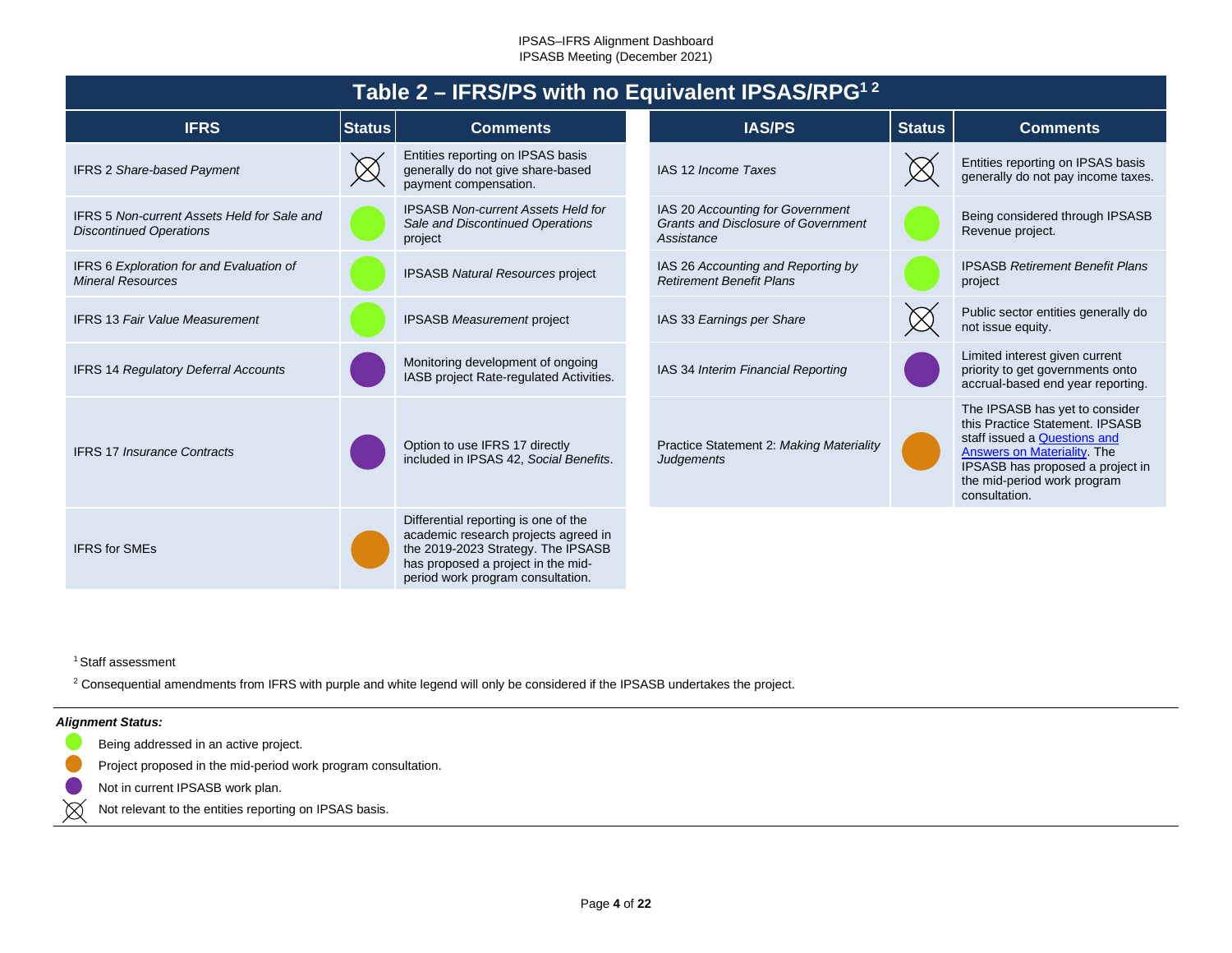<span id="page-3-0"></span>

| Table 2 – IFRS/PS with no Equivalent IPSAS/RPG <sup>12</sup>                         |               |                                                                                                                                                                                               |  |                                                                                              |               |                                                                                                                                                                                                                             |  |  |
|--------------------------------------------------------------------------------------|---------------|-----------------------------------------------------------------------------------------------------------------------------------------------------------------------------------------------|--|----------------------------------------------------------------------------------------------|---------------|-----------------------------------------------------------------------------------------------------------------------------------------------------------------------------------------------------------------------------|--|--|
| <b>IFRS</b>                                                                          | <b>Status</b> | <b>Comments</b>                                                                                                                                                                               |  | <b>IAS/PS</b>                                                                                | <b>Status</b> | <b>Comments</b>                                                                                                                                                                                                             |  |  |
| <b>IFRS 2 Share-based Payment</b>                                                    |               | Entities reporting on IPSAS basis<br>generally do not give share-based<br>payment compensation.                                                                                               |  | IAS 12 Income Taxes                                                                          |               | Entities reporting on IPSAS basis<br>generally do not pay income taxes.                                                                                                                                                     |  |  |
| <b>IFRS 5 Non-current Assets Held for Sale and</b><br><b>Discontinued Operations</b> |               | <b>IPSASB Non-current Assets Held for</b><br>Sale and Discontinued Operations<br>project                                                                                                      |  | IAS 20 Accounting for Government<br><b>Grants and Disclosure of Government</b><br>Assistance |               | Being considered through IPSASB<br>Revenue project.                                                                                                                                                                         |  |  |
| IFRS 6 Exploration for and Evaluation of<br><b>Mineral Resources</b>                 |               | IPSASB Natural Resources project                                                                                                                                                              |  | IAS 26 Accounting and Reporting by<br><b>Retirement Benefit Plans</b>                        |               | <b>IPSASB Retirement Benefit Plans</b><br>project                                                                                                                                                                           |  |  |
| <b>IFRS 13 Fair Value Measurement</b>                                                |               | <b>IPSASB Measurement project</b>                                                                                                                                                             |  | IAS 33 Earnings per Share                                                                    |               | Public sector entities generally do<br>not issue equity.                                                                                                                                                                    |  |  |
| <b>IFRS 14 Regulatory Deferral Accounts</b>                                          |               | Monitoring development of ongoing<br>IASB project Rate-regulated Activities.                                                                                                                  |  | IAS 34 Interim Financial Reporting                                                           |               | Limited interest given current<br>priority to get governments onto<br>accrual-based end year reporting.                                                                                                                     |  |  |
| <b>IFRS 17 Insurance Contracts</b>                                                   |               | Option to use IFRS 17 directly<br>included in IPSAS 42, Social Benefits.                                                                                                                      |  | Practice Statement 2: Making Materiality<br><b>Judgements</b>                                |               | The IPSASB has yet to consider<br>this Practice Statement. IPSASB<br>staff issued a Questions and<br><b>Answers on Materiality. The</b><br>IPSASB has proposed a project in<br>the mid-period work program<br>consultation. |  |  |
| <b>IFRS</b> for SMEs                                                                 |               | Differential reporting is one of the<br>academic research projects agreed in<br>the 2019-2023 Strategy. The IPSASB<br>has proposed a project in the mid-<br>period work program consultation. |  |                                                                                              |               |                                                                                                                                                                                                                             |  |  |

<sup>1</sup> Staff assessment

<sup>2</sup> Consequential amendments from IFRS with purple and white legend will only be considered if the IPSASB undertakes the project.

#### *Alignment Status:*

 $\boxtimes$ 

Being addressed in an active project.

Project proposed in the mid-period work program consultation.

Not in current IPSASB work plan.

Not relevant to the entities reporting on IPSAS basis.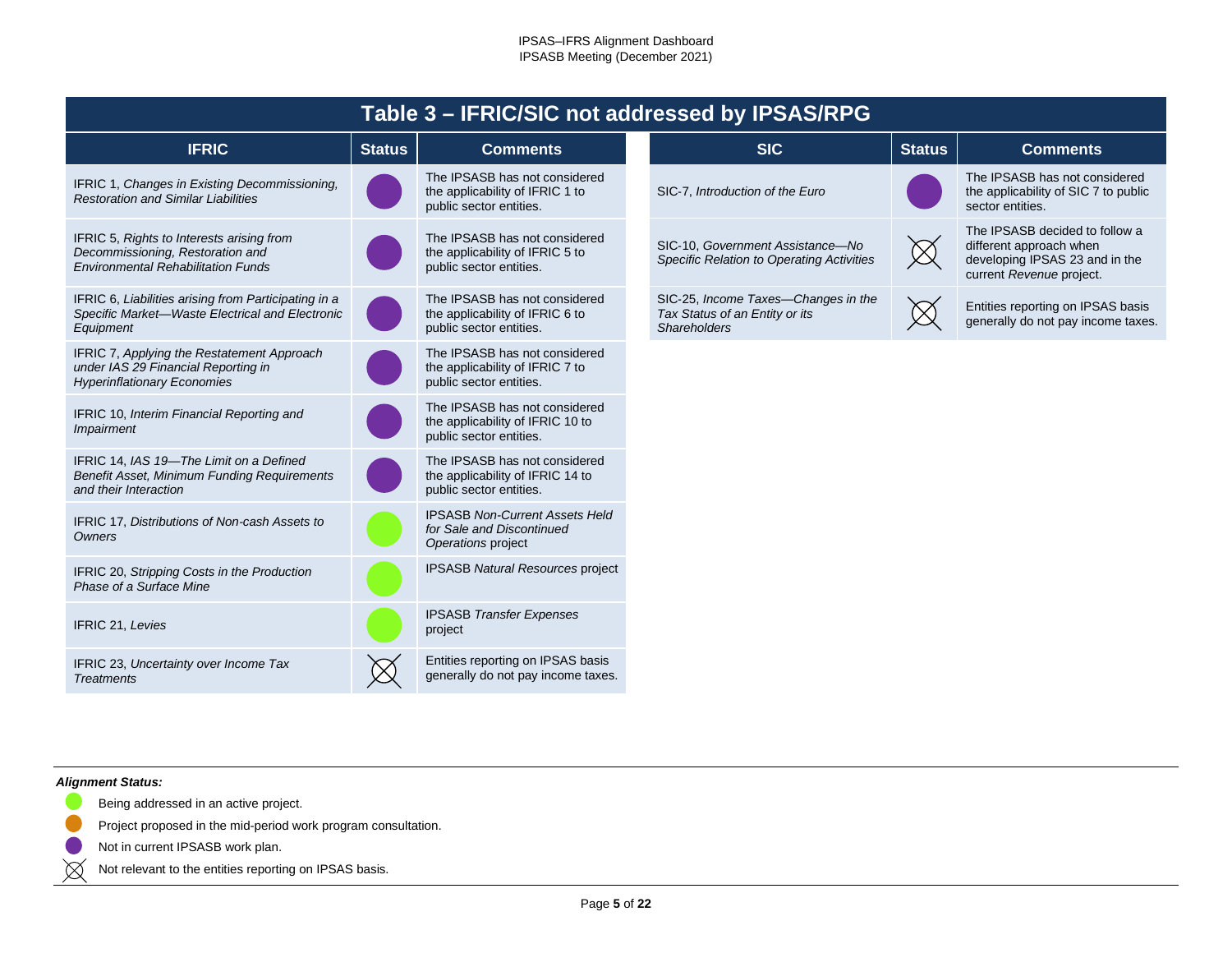<span id="page-4-0"></span>

|                                                                                                                            |               |                                                                                              | Table 3 - IFRIC/SIC not addressed by IPSAS/RPG |                                                                                              |               |                                                                                                                         |
|----------------------------------------------------------------------------------------------------------------------------|---------------|----------------------------------------------------------------------------------------------|------------------------------------------------|----------------------------------------------------------------------------------------------|---------------|-------------------------------------------------------------------------------------------------------------------------|
| <b>IFRIC</b>                                                                                                               | <b>Status</b> | <b>Comments</b>                                                                              |                                                | <b>SIC</b>                                                                                   | <b>Status</b> | <b>Comments</b>                                                                                                         |
| IFRIC 1, Changes in Existing Decommissioning.<br><b>Restoration and Similar Liabilities</b>                                |               | The IPSASB has not considered<br>the applicability of IFRIC 1 to<br>public sector entities.  |                                                | SIC-7, Introduction of the Euro                                                              |               | The IPSASB has not considered<br>the applicability of SIC 7 to public<br>sector entities.                               |
| IFRIC 5, Rights to Interests arising from<br>Decommissioning, Restoration and<br><b>Environmental Rehabilitation Funds</b> |               | The IPSASB has not considered<br>the applicability of IFRIC 5 to<br>public sector entities.  |                                                | SIC-10, Government Assistance-No<br>Specific Relation to Operating Activities                | $\boxtimes$   | The IPSASB decided to follow a<br>different approach when<br>developing IPSAS 23 and in the<br>current Revenue project. |
| IFRIC 6, Liabilities arising from Participating in a<br>Specific Market-Waste Electrical and Electronic<br>Equipment       |               | The IPSASB has not considered<br>the applicability of IFRIC 6 to<br>public sector entities.  |                                                | SIC-25, Income Taxes-Changes in the<br>Tax Status of an Entity or its<br><b>Shareholders</b> |               | Entities reporting on IPSAS basis<br>generally do not pay income taxes.                                                 |
| IFRIC 7, Applying the Restatement Approach<br>under IAS 29 Financial Reporting in<br><b>Hyperinflationary Economies</b>    |               | The IPSASB has not considered<br>the applicability of IFRIC 7 to<br>public sector entities.  |                                                |                                                                                              |               |                                                                                                                         |
| IFRIC 10, Interim Financial Reporting and<br>Impairment                                                                    |               | The IPSASB has not considered<br>the applicability of IFRIC 10 to<br>public sector entities. |                                                |                                                                                              |               |                                                                                                                         |
| IFRIC 14, IAS 19-The Limit on a Defined<br><b>Benefit Asset, Minimum Funding Requirements</b><br>and their Interaction     |               | The IPSASB has not considered<br>the applicability of IFRIC 14 to<br>public sector entities. |                                                |                                                                                              |               |                                                                                                                         |
| IFRIC 17, Distributions of Non-cash Assets to<br>Owners                                                                    |               | <b>IPSASB Non-Current Assets Held</b><br>for Sale and Discontinued<br>Operations project     |                                                |                                                                                              |               |                                                                                                                         |
| IFRIC 20, Stripping Costs in the Production<br>Phase of a Surface Mine                                                     |               | IPSASB Natural Resources project                                                             |                                                |                                                                                              |               |                                                                                                                         |
| IFRIC 21, Levies                                                                                                           |               | <b>IPSASB Transfer Expenses</b><br>project                                                   |                                                |                                                                                              |               |                                                                                                                         |
| IFRIC 23, Uncertainty over Income Tax<br><b>Treatments</b>                                                                 |               | Entities reporting on IPSAS basis<br>generally do not pay income taxes.                      |                                                |                                                                                              |               |                                                                                                                         |

### *Alignment Status:*

 $\blacksquare$ 

 $\boxtimes$ 

- Being addressed in an active project.
- Project proposed in the mid-period work program consultation.
- Not in current IPSASB work plan.
- Not relevant to the entities reporting on IPSAS basis.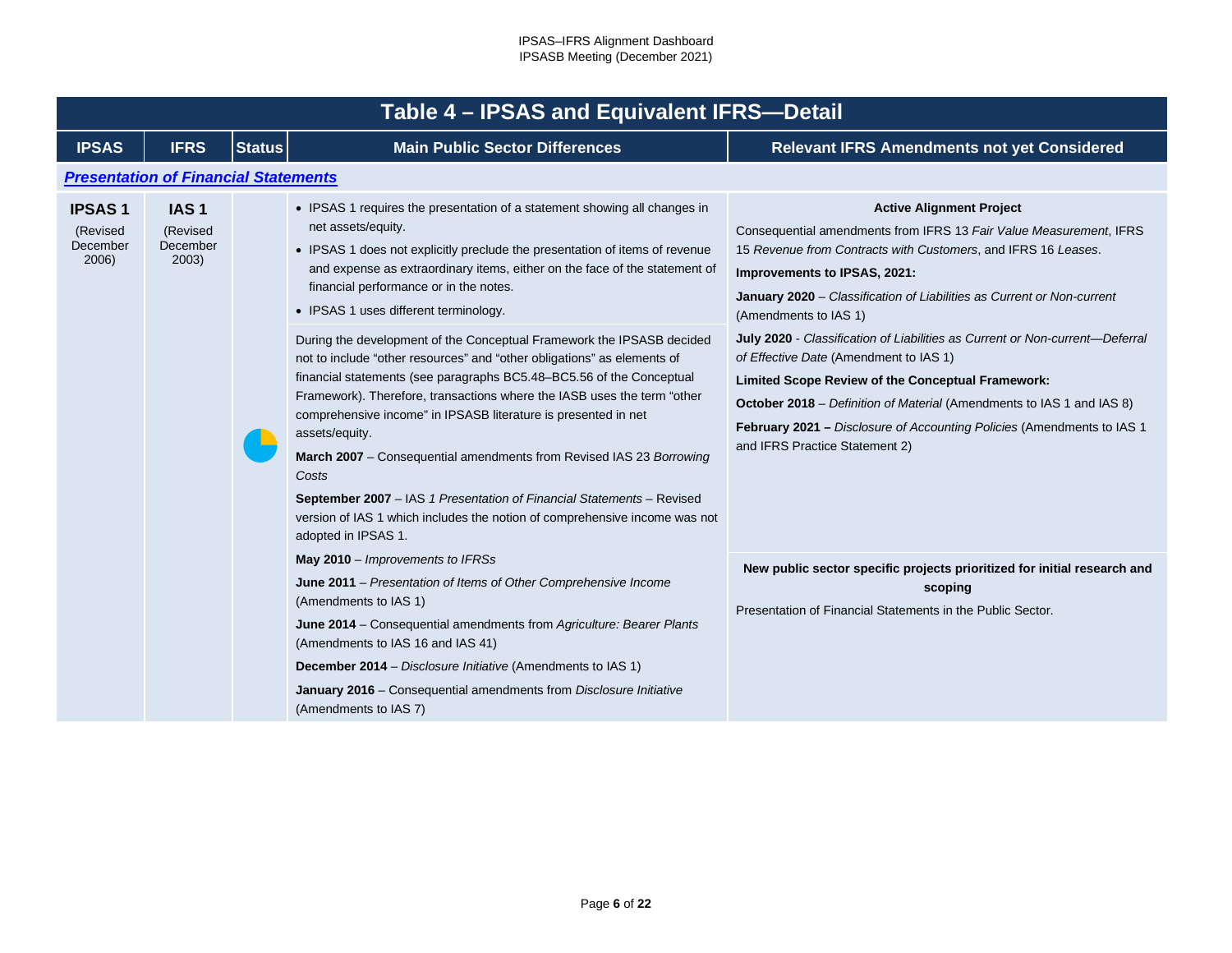<span id="page-5-1"></span><span id="page-5-0"></span>

|                                                | Table 4 - IPSAS and Equivalent IFRS-Detail        |               |                                                                                                                                                                                                                                                                                                                                                                                                                                                                                                                                                                                                                                                                                                                                                                                                                                                                                                                                                                                                          |                                                                                                                                                                                                                                                                                                                                                                                |  |  |  |  |  |  |
|------------------------------------------------|---------------------------------------------------|---------------|----------------------------------------------------------------------------------------------------------------------------------------------------------------------------------------------------------------------------------------------------------------------------------------------------------------------------------------------------------------------------------------------------------------------------------------------------------------------------------------------------------------------------------------------------------------------------------------------------------------------------------------------------------------------------------------------------------------------------------------------------------------------------------------------------------------------------------------------------------------------------------------------------------------------------------------------------------------------------------------------------------|--------------------------------------------------------------------------------------------------------------------------------------------------------------------------------------------------------------------------------------------------------------------------------------------------------------------------------------------------------------------------------|--|--|--|--|--|--|
| <b>IPSAS</b>                                   | <b>IFRS</b>                                       | <b>Status</b> | <b>Main Public Sector Differences</b>                                                                                                                                                                                                                                                                                                                                                                                                                                                                                                                                                                                                                                                                                                                                                                                                                                                                                                                                                                    | <b>Relevant IFRS Amendments not yet Considered</b>                                                                                                                                                                                                                                                                                                                             |  |  |  |  |  |  |
|                                                | <b>Presentation of Financial Statements</b>       |               |                                                                                                                                                                                                                                                                                                                                                                                                                                                                                                                                                                                                                                                                                                                                                                                                                                                                                                                                                                                                          |                                                                                                                                                                                                                                                                                                                                                                                |  |  |  |  |  |  |
| <b>IPSAS1</b><br>(Revised<br>December<br>2006) | IAS <sub>1</sub><br>(Revised<br>December<br>2003) |               | • IPSAS 1 requires the presentation of a statement showing all changes in<br>net assets/equity.<br>• IPSAS 1 does not explicitly preclude the presentation of items of revenue<br>and expense as extraordinary items, either on the face of the statement of<br>financial performance or in the notes.<br>• IPSAS 1 uses different terminology.<br>During the development of the Conceptual Framework the IPSASB decided<br>not to include "other resources" and "other obligations" as elements of<br>financial statements (see paragraphs BC5.48-BC5.56 of the Conceptual<br>Framework). Therefore, transactions where the IASB uses the term "other<br>comprehensive income" in IPSASB literature is presented in net<br>assets/equity.<br>March 2007 - Consequential amendments from Revised IAS 23 Borrowing<br>Costs<br>September 2007 - IAS 1 Presentation of Financial Statements - Revised<br>version of IAS 1 which includes the notion of comprehensive income was not<br>adopted in IPSAS 1. | <b>Active Alignment Project</b><br>Consequential amendments from IFRS 13 Fair Value Measurement, IFRS<br>15 Revenue from Contracts with Customers, and IFRS 16 Leases.<br>Improvements to IPSAS, 2021:<br>January 2020 - Classification of Liabilities as Current or Non-current<br>(Amendments to IAS 1)                                                                      |  |  |  |  |  |  |
|                                                |                                                   |               |                                                                                                                                                                                                                                                                                                                                                                                                                                                                                                                                                                                                                                                                                                                                                                                                                                                                                                                                                                                                          | July 2020 - Classification of Liabilities as Current or Non-current-Deferral<br>of Effective Date (Amendment to IAS 1)<br>Limited Scope Review of the Conceptual Framework:<br><b>October 2018</b> – Definition of Material (Amendments to IAS 1 and IAS 8)<br><b>February 2021</b> - Disclosure of Accounting Policies (Amendments to IAS 1<br>and IFRS Practice Statement 2) |  |  |  |  |  |  |
|                                                |                                                   |               | May $2010$ – Improvements to IFRSs<br>June 2011 – Presentation of Items of Other Comprehensive Income<br>(Amendments to IAS 1)<br>June 2014 - Consequential amendments from Agriculture: Bearer Plants<br>(Amendments to IAS 16 and IAS 41)<br><b>December 2014</b> – Disclosure Initiative (Amendments to IAS 1)<br>January 2016 - Consequential amendments from Disclosure Initiative<br>(Amendments to IAS 7)                                                                                                                                                                                                                                                                                                                                                                                                                                                                                                                                                                                         | New public sector specific projects prioritized for initial research and<br>scoping<br>Presentation of Financial Statements in the Public Sector.                                                                                                                                                                                                                              |  |  |  |  |  |  |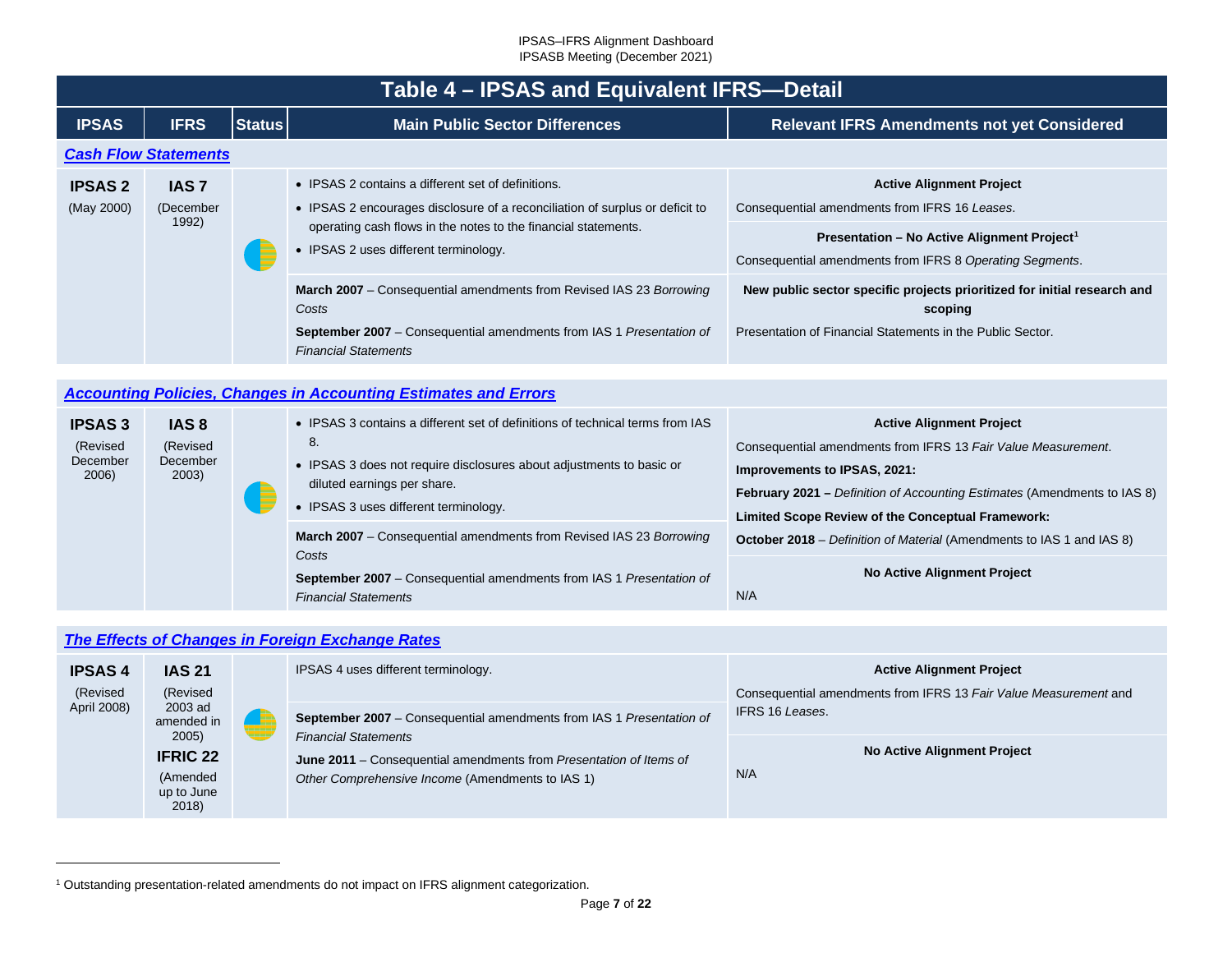<span id="page-6-0"></span>

|                              | Table 4 – IPSAS and Equivalent IFRS-Detail                             |               |                                                                                                                                                                                                                                               |                                                                                                                                                                                                         |  |  |  |  |  |  |
|------------------------------|------------------------------------------------------------------------|---------------|-----------------------------------------------------------------------------------------------------------------------------------------------------------------------------------------------------------------------------------------------|---------------------------------------------------------------------------------------------------------------------------------------------------------------------------------------------------------|--|--|--|--|--|--|
| <b>IPSAS</b>                 | <b>IFRS</b>                                                            | <b>Status</b> | <b>Main Public Sector Differences</b>                                                                                                                                                                                                         | <b>Relevant IFRS Amendments not yet Considered</b>                                                                                                                                                      |  |  |  |  |  |  |
| <b>Cash Flow Statements</b>  |                                                                        |               |                                                                                                                                                                                                                                               |                                                                                                                                                                                                         |  |  |  |  |  |  |
| <b>IPSAS 2</b><br>(May 2000) | <b>IAS 7</b><br>(December<br>1992)                                     |               | • IPSAS 2 contains a different set of definitions.<br>• IPSAS 2 encourages disclosure of a reconciliation of surplus or deficit to<br>operating cash flows in the notes to the financial statements.<br>• IPSAS 2 uses different terminology. | <b>Active Alignment Project</b><br>Consequential amendments from IFRS 16 Leases.<br>Presentation - No Active Alignment Project <sup>1</sup><br>Consequential amendments from IFRS 8 Operating Segments. |  |  |  |  |  |  |
|                              |                                                                        |               | <b>March 2007</b> – Consequential amendments from Revised IAS 23 Borrowing<br>Costs<br><b>September 2007</b> – Consequential amendments from IAS 1 Presentation of<br><b>Financial Statements</b>                                             | New public sector specific projects prioritized for initial research and<br>scoping<br>Presentation of Financial Statements in the Public Sector.                                                       |  |  |  |  |  |  |
|                              | <b>Accounting Policies, Changes in Accounting Estimates and Errors</b> |               |                                                                                                                                                                                                                                               |                                                                                                                                                                                                         |  |  |  |  |  |  |
| <b>IPSAS 3</b><br>(Revised)  | <b>IAS 8</b><br>(Revised                                               |               | • IPSAS 3 contains a different set of definitions of technical terms from IAS<br>8.                                                                                                                                                           | <b>Active Alignment Project</b><br>Consequential amendments from IFRS 13 Fair Value Measurement.                                                                                                        |  |  |  |  |  |  |

<span id="page-6-3"></span>**Improvements to IPSAS, 2021:**

March 2007 – Consequential amendments from Revised IAS 23 *Borrowing* **October 2018** – *Definition of Material* (Amendments to IAS 1 and IAS 8)

N/A

**February 2021 –** *Definition of Accounting Estimates* (Amendments to IAS 8)

**No Active Alignment Project**

**Limited Scope Review of the Conceptual Framework:**

• IPSAS 3 does not require disclosures about adjustments to basic or

**September 2007** – Consequential amendments from IAS 1 *Presentation of* 

diluted earnings per share. • IPSAS 3 uses different terminology.

*Financial Statements*

<span id="page-6-2"></span>

| The Effects of Changes in Foreign Exchange Rates |  |  |  |
|--------------------------------------------------|--|--|--|
|                                                  |  |  |  |

*Costs*

<span id="page-6-1"></span>December 2006)

December 2003)

| <b>IPSAS4</b><br>(Revised | <b>IAS 21</b><br>(Revised<br>2003 ad<br>amended in          |  | IPSAS 4 uses different terminology.                                                                                                                                                                                                  | <b>Active Alignment Project</b><br>Consequential amendments from IFRS 13 Fair Value Measurement and |  |
|---------------------------|-------------------------------------------------------------|--|--------------------------------------------------------------------------------------------------------------------------------------------------------------------------------------------------------------------------------------|-----------------------------------------------------------------------------------------------------|--|
| April 2008)               |                                                             |  | <b>September 2007</b> – Consequential amendments from IAS 1 Presentation of<br><b>Financial Statements</b><br>June 2011 – Consequential amendments from Presentation of Items of<br>Other Comprehensive Income (Amendments to IAS 1) | IFRS 16 Leases.                                                                                     |  |
|                           | 2005)<br><b>IFRIC 22</b><br>(Amended<br>up to June<br>2018) |  |                                                                                                                                                                                                                                      | <b>No Active Alignment Project</b><br>N/A                                                           |  |

<sup>1</sup> Outstanding presentation-related amendments do not impact on IFRS alignment categorization.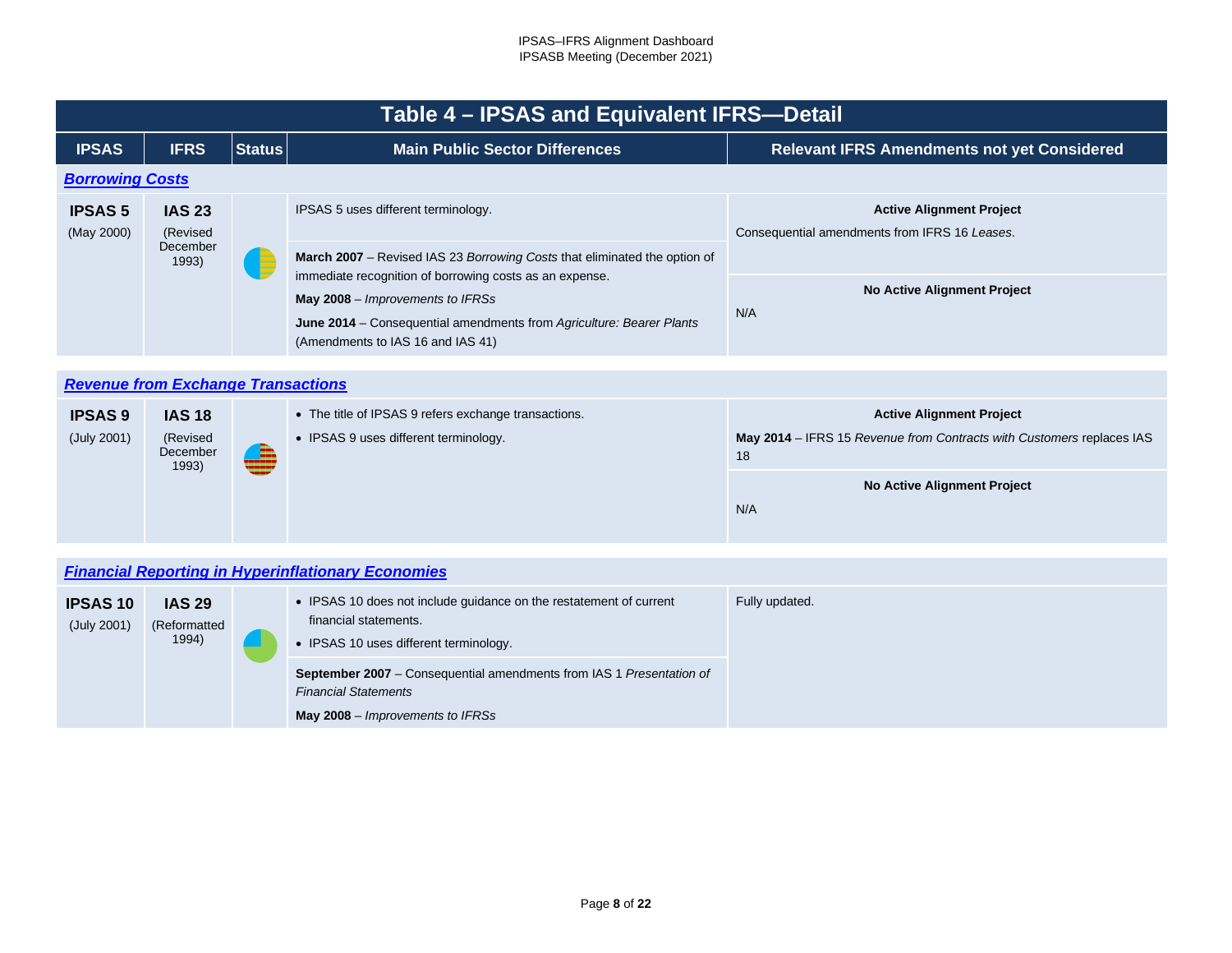<span id="page-7-0"></span>

|                              | Table 4 – IPSAS and Equivalent IFRS-Detail     |               |                                                                                                                                                                                                          |                                                                                  |  |  |  |  |  |  |  |
|------------------------------|------------------------------------------------|---------------|----------------------------------------------------------------------------------------------------------------------------------------------------------------------------------------------------------|----------------------------------------------------------------------------------|--|--|--|--|--|--|--|
| <b>IPSAS</b>                 | <b>IFRS</b>                                    | <b>Status</b> | <b>Main Public Sector Differences</b>                                                                                                                                                                    | <b>Relevant IFRS Amendments not yet Considered</b>                               |  |  |  |  |  |  |  |
|                              | <b>Borrowing Costs</b>                         |               |                                                                                                                                                                                                          |                                                                                  |  |  |  |  |  |  |  |
| <b>IPSAS 5</b><br>(May 2000) | <b>IAS 23</b><br>(Revised<br>December<br>1993) |               | IPSAS 5 uses different terminology.<br>March 2007 – Revised IAS 23 Borrowing Costs that eliminated the option of                                                                                         | <b>Active Alignment Project</b><br>Consequential amendments from IFRS 16 Leases. |  |  |  |  |  |  |  |
|                              |                                                |               | immediate recognition of borrowing costs as an expense.<br>May 2008 – Improvements to IFRSs<br>June 2014 – Consequential amendments from Agriculture: Bearer Plants<br>(Amendments to IAS 16 and IAS 41) | <b>No Active Alignment Project</b><br>N/A                                        |  |  |  |  |  |  |  |

<span id="page-7-1"></span>

| <b>Revenue from Exchange Transactions</b> |                                                |  |                                                                                               |                                                                                                                |  |  |  |  |  |
|-------------------------------------------|------------------------------------------------|--|-----------------------------------------------------------------------------------------------|----------------------------------------------------------------------------------------------------------------|--|--|--|--|--|
| <b>IPSAS 9</b><br>(July 2001)             | <b>IAS 18</b><br>(Revised<br>December<br>1993) |  | • The title of IPSAS 9 refers exchange transactions.<br>• IPSAS 9 uses different terminology. | <b>Active Alignment Project</b><br>May 2014 – IFRS 15 Revenue from Contracts with Customers replaces IAS<br>18 |  |  |  |  |  |
|                                           |                                                |  |                                                                                               | No Active Alignment Project<br>N/A                                                                             |  |  |  |  |  |

# <span id="page-7-2"></span>*[Financial Reporting in Hyperinflationary Economies](#page-2-7)*

| <b>IPSAS 10</b><br>(July 2001) | <b>IAS 29</b><br>(Reformatted<br>1994) | • IPSAS 10 does not include guidance on the restatement of current<br>financial statements.<br>• IPSAS 10 uses different terminology.          | Fully updated. |
|--------------------------------|----------------------------------------|------------------------------------------------------------------------------------------------------------------------------------------------|----------------|
|                                |                                        | <b>September 2007</b> – Consequential amendments from IAS 1 Presentation of<br><b>Financial Statements</b><br>May 2008 – Improvements to IFRSs |                |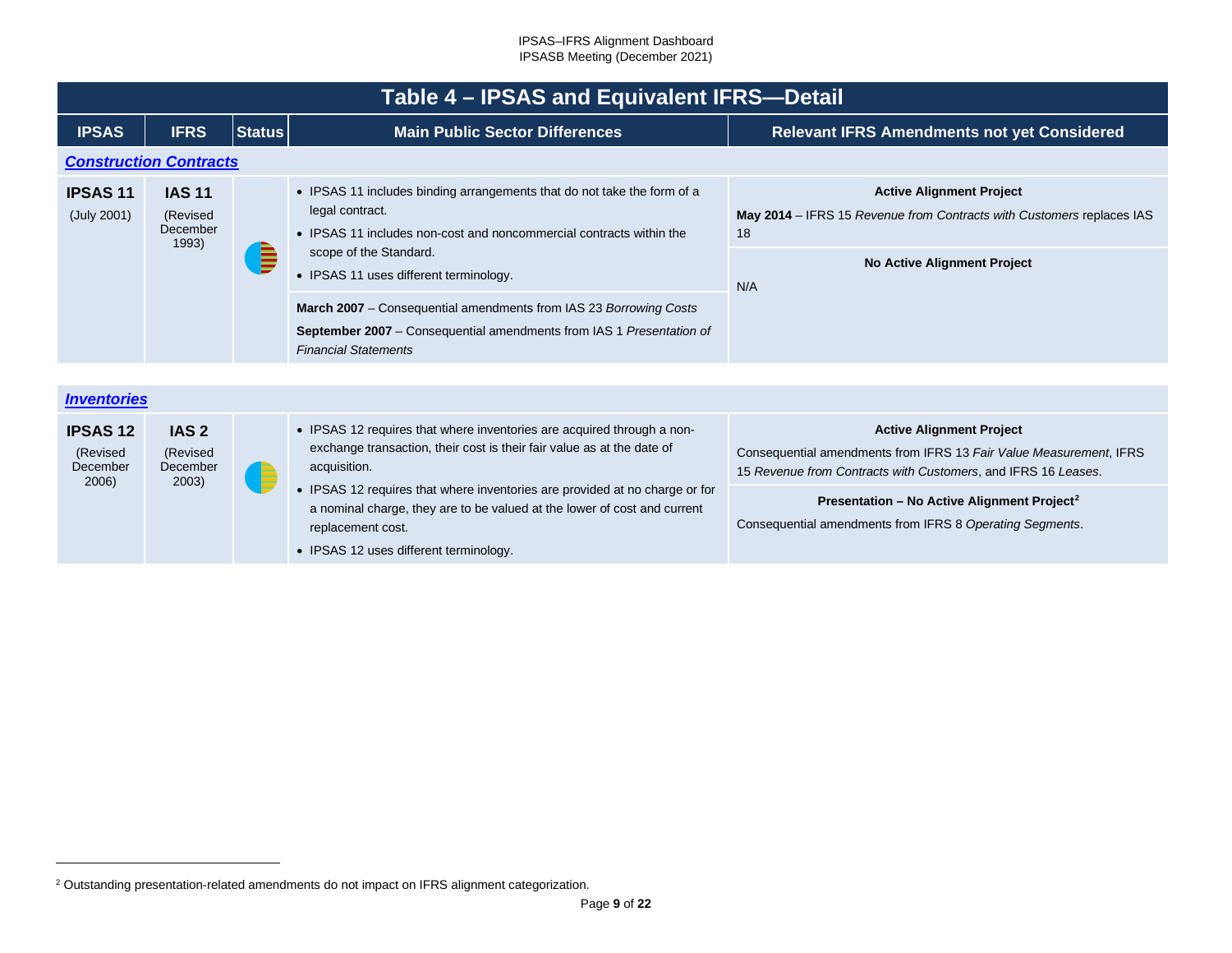<span id="page-8-2"></span><span id="page-8-1"></span><span id="page-8-0"></span>

|                                                 | Table 4 - IPSAS and Equivalent IFRS-Detail        |               |                                                                                                                                                                                                                                                                                                                                                                                            |                                                                                                                                                                        |  |  |  |  |  |
|-------------------------------------------------|---------------------------------------------------|---------------|--------------------------------------------------------------------------------------------------------------------------------------------------------------------------------------------------------------------------------------------------------------------------------------------------------------------------------------------------------------------------------------------|------------------------------------------------------------------------------------------------------------------------------------------------------------------------|--|--|--|--|--|
| <b>IPSAS</b>                                    | <b>IFRS</b>                                       | <b>Status</b> | <b>Main Public Sector Differences</b>                                                                                                                                                                                                                                                                                                                                                      | <b>Relevant IFRS Amendments not yet Considered</b>                                                                                                                     |  |  |  |  |  |
|                                                 | <b>Construction Contracts</b>                     |               |                                                                                                                                                                                                                                                                                                                                                                                            |                                                                                                                                                                        |  |  |  |  |  |
| <b>IPSAS11</b><br>(July 2001)                   | <b>IAS 11</b><br>(Revised<br>December<br>1993)    |               | • IPSAS 11 includes binding arrangements that do not take the form of a<br>legal contract.<br>• IPSAS 11 includes non-cost and noncommercial contracts within the                                                                                                                                                                                                                          | <b>Active Alignment Project</b><br>May 2014 - IFRS 15 Revenue from Contracts with Customers replaces IAS<br>18                                                         |  |  |  |  |  |
|                                                 |                                                   |               | scope of the Standard.<br>• IPSAS 11 uses different terminology.                                                                                                                                                                                                                                                                                                                           | <b>No Active Alignment Project</b><br>N/A                                                                                                                              |  |  |  |  |  |
|                                                 |                                                   |               | March 2007 - Consequential amendments from IAS 23 Borrowing Costs<br><b>September 2007</b> – Consequential amendments from IAS 1 Presentation of<br><b>Financial Statements</b>                                                                                                                                                                                                            |                                                                                                                                                                        |  |  |  |  |  |
|                                                 |                                                   |               |                                                                                                                                                                                                                                                                                                                                                                                            |                                                                                                                                                                        |  |  |  |  |  |
| <b>Inventories</b>                              |                                                   |               |                                                                                                                                                                                                                                                                                                                                                                                            |                                                                                                                                                                        |  |  |  |  |  |
| <b>IPSAS12</b><br>(Revised<br>December<br>2006) | IAS <sub>2</sub><br>(Revised<br>December<br>2003) | E             | • IPSAS 12 requires that where inventories are acquired through a non-<br>exchange transaction, their cost is their fair value as at the date of<br>acquisition.<br>• IPSAS 12 requires that where inventories are provided at no charge or for<br>a nominal charge, they are to be valued at the lower of cost and current<br>replacement cost.<br>• IPSAS 12 uses different terminology. | <b>Active Alignment Project</b><br>Consequential amendments from IFRS 13 Fair Value Measurement, IFRS<br>15 Revenue from Contracts with Customers, and IFRS 16 Leases. |  |  |  |  |  |
|                                                 |                                                   |               |                                                                                                                                                                                                                                                                                                                                                                                            | Presentation - No Active Alignment Project <sup>2</sup><br>Consequential amendments from IFRS 8 Operating Segments.                                                    |  |  |  |  |  |

<sup>2</sup> Outstanding presentation-related amendments do not impact on IFRS alignment categorization.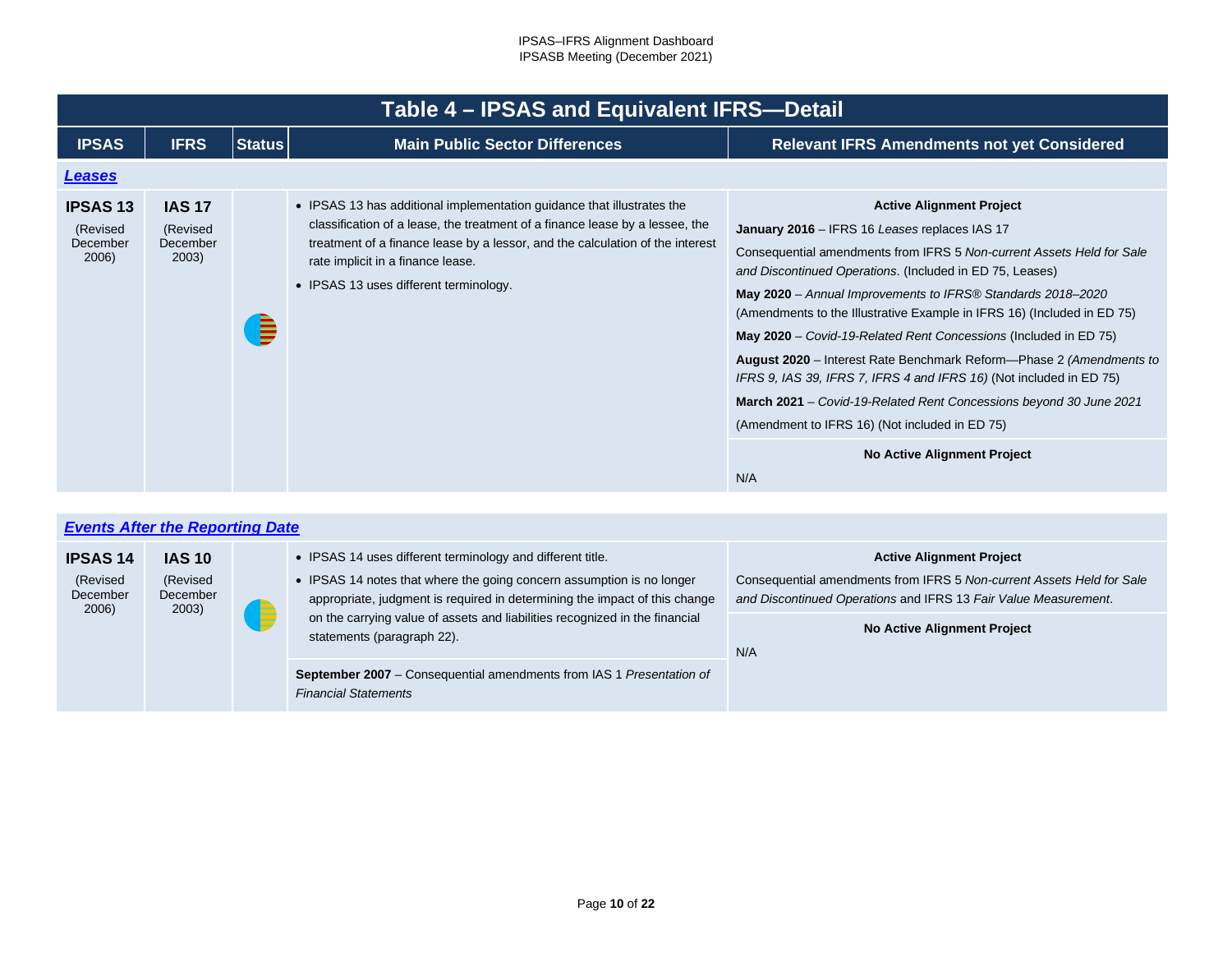<span id="page-9-0"></span>

|                                                  | Table 4 - IPSAS and Equivalent IFRS-Detail     |               |                                                                                                                                                                                                                                                                                                                        |                                                                                                                                                                                                                                                                                                                                                                                                                                                                                                                                                                                                                                                                                                                                                        |  |
|--------------------------------------------------|------------------------------------------------|---------------|------------------------------------------------------------------------------------------------------------------------------------------------------------------------------------------------------------------------------------------------------------------------------------------------------------------------|--------------------------------------------------------------------------------------------------------------------------------------------------------------------------------------------------------------------------------------------------------------------------------------------------------------------------------------------------------------------------------------------------------------------------------------------------------------------------------------------------------------------------------------------------------------------------------------------------------------------------------------------------------------------------------------------------------------------------------------------------------|--|
| <b>IPSAS</b>                                     | <b>IFRS</b>                                    | <b>Status</b> | <b>Main Public Sector Differences</b>                                                                                                                                                                                                                                                                                  | <b>Relevant IFRS Amendments not yet Considered</b>                                                                                                                                                                                                                                                                                                                                                                                                                                                                                                                                                                                                                                                                                                     |  |
| <b>Leases</b>                                    |                                                |               |                                                                                                                                                                                                                                                                                                                        |                                                                                                                                                                                                                                                                                                                                                                                                                                                                                                                                                                                                                                                                                                                                                        |  |
| <b>IPSAS 13</b><br>(Revised<br>December<br>2006) | <b>IAS 17</b><br>(Revised<br>December<br>2003) | ₿             | • IPSAS 13 has additional implementation guidance that illustrates the<br>classification of a lease, the treatment of a finance lease by a lessee, the<br>treatment of a finance lease by a lessor, and the calculation of the interest<br>rate implicit in a finance lease.<br>• IPSAS 13 uses different terminology. | <b>Active Alignment Project</b><br>January 2016 - IFRS 16 Leases replaces IAS 17<br>Consequential amendments from IFRS 5 Non-current Assets Held for Sale<br>and Discontinued Operations. (Included in ED 75, Leases)<br>May 2020 - Annual Improvements to IFRS® Standards 2018-2020<br>(Amendments to the Illustrative Example in IFRS 16) (Included in ED 75)<br>May 2020 - Covid-19-Related Rent Concessions (Included in ED 75)<br>August 2020 – Interest Rate Benchmark Reform—Phase 2 (Amendments to<br>IFRS 9, IAS 39, IFRS 7, IFRS 4 and IFRS 16) (Not included in ED 75)<br>March 2021 - Covid-19-Related Rent Concessions beyond 30 June 2021<br>(Amendment to IFRS 16) (Not included in ED 75)<br><b>No Active Alignment Project</b><br>N/A |  |

<span id="page-9-1"></span>

|                                                  | <b>Events After the Reporting Date</b>         |                                                                                                                                                                                                                                                                                                                                |                                                                                                                                                                                                                          |
|--------------------------------------------------|------------------------------------------------|--------------------------------------------------------------------------------------------------------------------------------------------------------------------------------------------------------------------------------------------------------------------------------------------------------------------------------|--------------------------------------------------------------------------------------------------------------------------------------------------------------------------------------------------------------------------|
| <b>IPSAS 14</b><br>(Revised<br>December<br>2006) | <b>IAS 10</b><br>(Revised<br>December<br>2003) | • IPSAS 14 uses different terminology and different title.<br>• IPSAS 14 notes that where the going concern assumption is no longer<br>appropriate, judgment is required in determining the impact of this change<br>on the carrying value of assets and liabilities recognized in the financial<br>statements (paragraph 22). | <b>Active Alignment Project</b><br>Consequential amendments from IFRS 5 Non-current Assets Held for Sale<br>and Discontinued Operations and IFRS 13 Fair Value Measurement.<br><b>No Active Alignment Project</b><br>N/A |
|                                                  |                                                | <b>September 2007</b> – Consequential amendments from IAS 1 Presentation of<br><b>Financial Statements</b>                                                                                                                                                                                                                     |                                                                                                                                                                                                                          |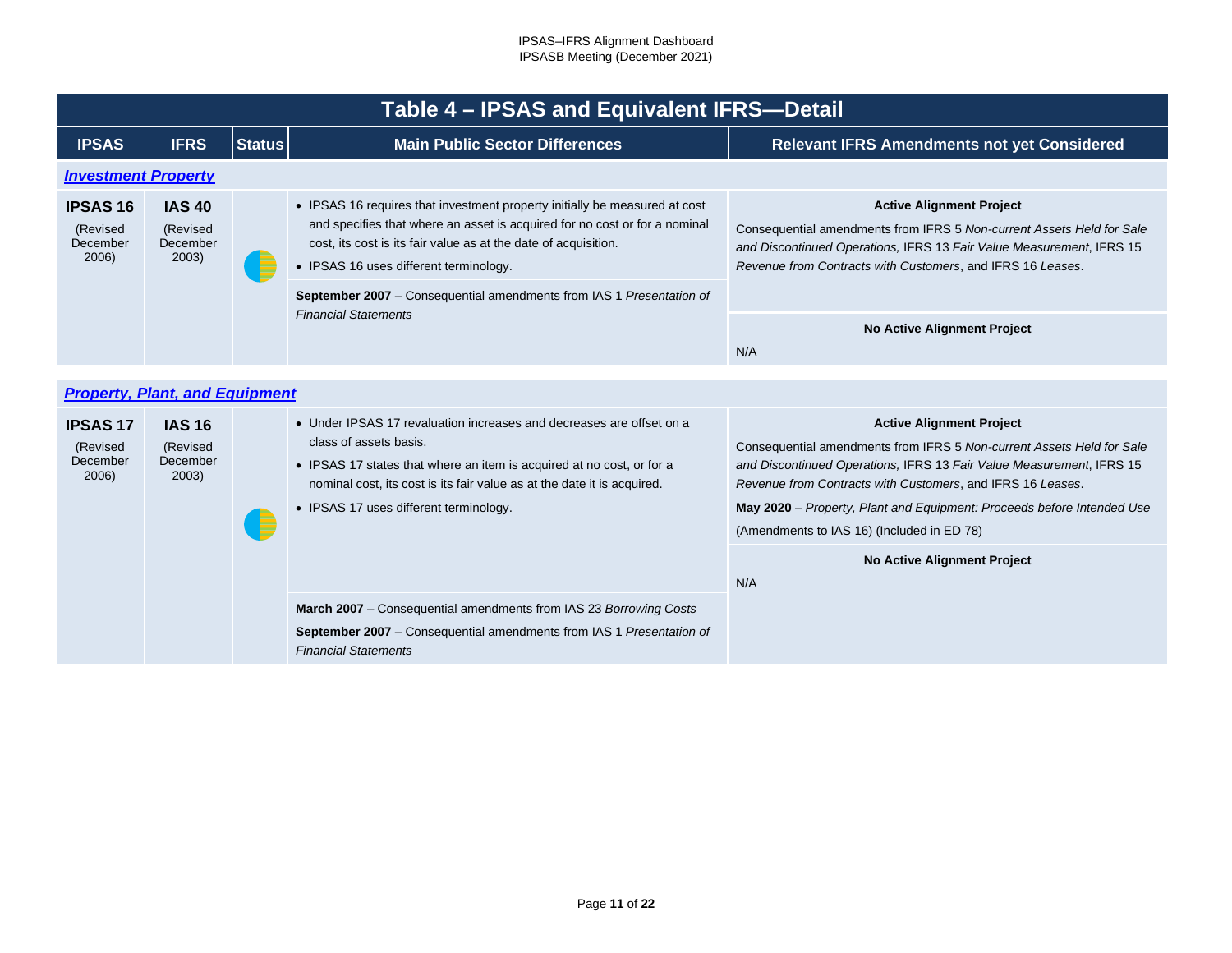<span id="page-10-0"></span>

|                                                  | Table 4 – IPSAS and Equivalent IFRS-Detail     |               |                                                                                                                                                                                                                                                                                                                                                                              |                                                                                                                                                                                                                                                                                                                          |  |
|--------------------------------------------------|------------------------------------------------|---------------|------------------------------------------------------------------------------------------------------------------------------------------------------------------------------------------------------------------------------------------------------------------------------------------------------------------------------------------------------------------------------|--------------------------------------------------------------------------------------------------------------------------------------------------------------------------------------------------------------------------------------------------------------------------------------------------------------------------|--|
| <b>IPSAS</b>                                     | <b>IFRS</b>                                    | <b>Status</b> | <b>Main Public Sector Differences</b>                                                                                                                                                                                                                                                                                                                                        | <b>Relevant IFRS Amendments not yet Considered</b>                                                                                                                                                                                                                                                                       |  |
| <b>Investment Property</b>                       |                                                |               |                                                                                                                                                                                                                                                                                                                                                                              |                                                                                                                                                                                                                                                                                                                          |  |
| <b>IPSAS 16</b><br>(Revised<br>December<br>2006) | <b>IAS 40</b><br>(Revised<br>December<br>2003) |               | • IPSAS 16 requires that investment property initially be measured at cost<br>and specifies that where an asset is acquired for no cost or for a nominal<br>cost, its cost is its fair value as at the date of acquisition.<br>• IPSAS 16 uses different terminology.<br>September 2007 - Consequential amendments from IAS 1 Presentation of<br><b>Financial Statements</b> | <b>Active Alignment Project</b><br>Consequential amendments from IFRS 5 Non-current Assets Held for Sale<br>and Discontinued Operations, IFRS 13 Fair Value Measurement, IFRS 15<br>Revenue from Contracts with Customers, and IFRS 16 Leases.                                                                           |  |
|                                                  |                                                |               |                                                                                                                                                                                                                                                                                                                                                                              |                                                                                                                                                                                                                                                                                                                          |  |
|                                                  |                                                |               |                                                                                                                                                                                                                                                                                                                                                                              | <b>No Active Alignment Project</b><br>N/A                                                                                                                                                                                                                                                                                |  |
|                                                  |                                                |               |                                                                                                                                                                                                                                                                                                                                                                              |                                                                                                                                                                                                                                                                                                                          |  |
|                                                  | <b>Property, Plant, and Equipment</b>          |               |                                                                                                                                                                                                                                                                                                                                                                              |                                                                                                                                                                                                                                                                                                                          |  |
| <b>IPSAS 17</b><br>(Revised<br>December<br>2006) | <b>IAS 16</b><br>(Revised<br>December<br>2003) |               | • Under IPSAS 17 revaluation increases and decreases are offset on a<br>class of assets basis.<br>• IPSAS 17 states that where an item is acquired at no cost, or for a<br>nominal cost, its cost is its fair value as at the date it is acquired.<br>• IPSAS 17 uses different terminology.                                                                                 | <b>Active Alignment Project</b><br>Consequential amendments from IFRS 5 Non-current Assets Held for Sale<br>and Discontinued Operations, IFRS 13 Fair Value Measurement, IFRS 15<br>Revenue from Contracts with Customers, and IFRS 16 Leases.<br>May 2020 - Property, Plant and Equipment: Proceeds before Intended Use |  |

• IPSAS 17 uses different terminology.

*Financial Statements*

<span id="page-10-1"></span>E

**March 2007** – Consequential amendments from IAS 23 *Borrowing Costs* **September 2007** – Consequential amendments from IAS 1 *Presentation of*  (Amendments to IAS 16) (Included in ED 78)

N/A

**No Active Alignment Project**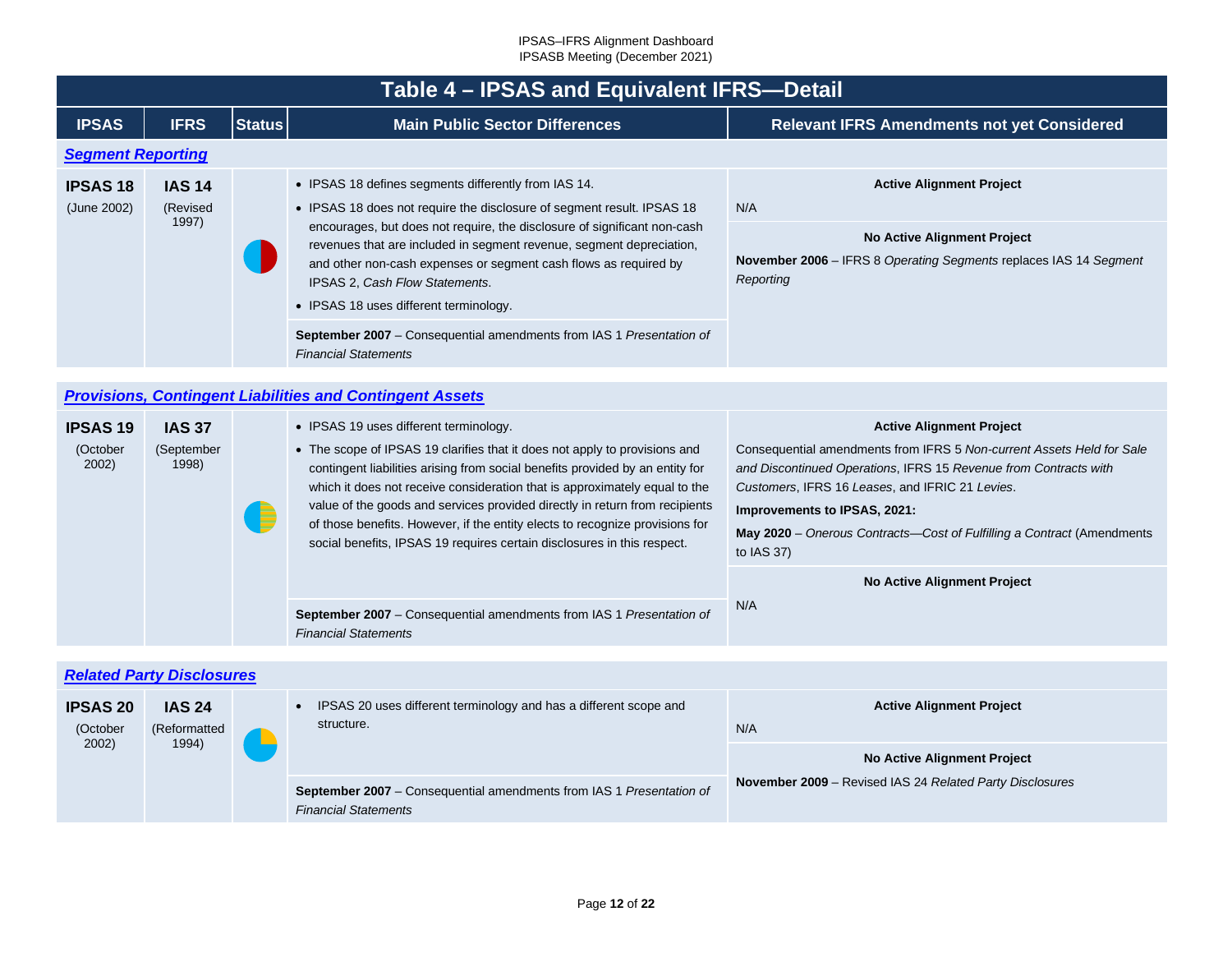<span id="page-11-2"></span><span id="page-11-1"></span><span id="page-11-0"></span>

|                                      | Table 4 - IPSAS and Equivalent IFRS-Detail |               |                                                                                                                                                                                                                                                                                                                                                                                                                                                                                                                                                                                                                                      |                                                                                                                                                                                                                                                                                                                                                                                               |  |
|--------------------------------------|--------------------------------------------|---------------|--------------------------------------------------------------------------------------------------------------------------------------------------------------------------------------------------------------------------------------------------------------------------------------------------------------------------------------------------------------------------------------------------------------------------------------------------------------------------------------------------------------------------------------------------------------------------------------------------------------------------------------|-----------------------------------------------------------------------------------------------------------------------------------------------------------------------------------------------------------------------------------------------------------------------------------------------------------------------------------------------------------------------------------------------|--|
| <b>IPSAS</b>                         | <b>IFRS</b>                                | <b>Status</b> | <b>Main Public Sector Differences</b>                                                                                                                                                                                                                                                                                                                                                                                                                                                                                                                                                                                                | <b>Relevant IFRS Amendments not yet Considered</b>                                                                                                                                                                                                                                                                                                                                            |  |
| <b>Segment Reporting</b>             |                                            |               |                                                                                                                                                                                                                                                                                                                                                                                                                                                                                                                                                                                                                                      |                                                                                                                                                                                                                                                                                                                                                                                               |  |
| <b>IPSAS 18</b><br>(June 2002)       | <b>IAS 14</b><br>(Revised<br>1997)         |               | • IPSAS 18 defines segments differently from IAS 14.<br>• IPSAS 18 does not require the disclosure of segment result. IPSAS 18<br>encourages, but does not require, the disclosure of significant non-cash<br>revenues that are included in segment revenue, segment depreciation,<br>and other non-cash expenses or segment cash flows as required by<br>IPSAS 2, Cash Flow Statements.<br>• IPSAS 18 uses different terminology.<br>September 2007 - Consequential amendments from IAS 1 Presentation of<br><b>Financial Statements</b>                                                                                            | <b>Active Alignment Project</b><br>N/A<br><b>No Active Alignment Project</b><br>November 2006 - IFRS 8 Operating Segments replaces IAS 14 Segment<br>Reporting                                                                                                                                                                                                                                |  |
|                                      |                                            |               |                                                                                                                                                                                                                                                                                                                                                                                                                                                                                                                                                                                                                                      |                                                                                                                                                                                                                                                                                                                                                                                               |  |
|                                      |                                            |               | <b>Provisions, Contingent Liabilities and Contingent Assets</b>                                                                                                                                                                                                                                                                                                                                                                                                                                                                                                                                                                      |                                                                                                                                                                                                                                                                                                                                                                                               |  |
| <b>IPSAS 19</b><br>(October<br>2002) | <b>IAS 37</b><br>(September<br>1998)       |               | • IPSAS 19 uses different terminology.<br>• The scope of IPSAS 19 clarifies that it does not apply to provisions and<br>contingent liabilities arising from social benefits provided by an entity for<br>which it does not receive consideration that is approximately equal to the<br>value of the goods and services provided directly in return from recipients<br>of those benefits. However, if the entity elects to recognize provisions for<br>social benefits, IPSAS 19 requires certain disclosures in this respect.<br>September 2007 - Consequential amendments from IAS 1 Presentation of<br><b>Financial Statements</b> | <b>Active Alignment Project</b><br>Consequential amendments from IFRS 5 Non-current Assets Held for Sale<br>and Discontinued Operations, IFRS 15 Revenue from Contracts with<br>Customers, IFRS 16 Leases, and IFRIC 21 Levies.<br>Improvements to IPSAS, 2021:<br>May 2020 - Onerous Contracts-Cost of Fulfilling a Contract (Amendments<br>to IAS 37)<br>No Active Alignment Project<br>N/A |  |
|                                      | <b>Related Party Disclosures</b>           |               |                                                                                                                                                                                                                                                                                                                                                                                                                                                                                                                                                                                                                                      |                                                                                                                                                                                                                                                                                                                                                                                               |  |
| <b>IPSAS 20</b><br>(October<br>2002) | <b>IAS 24</b><br>(Reformatted<br>1994)     |               | IPSAS 20 uses different terminology and has a different scope and<br>$\bullet$<br>structure.                                                                                                                                                                                                                                                                                                                                                                                                                                                                                                                                         | <b>Active Alignment Project</b><br>N/A<br><b>No Active Alignment Project</b>                                                                                                                                                                                                                                                                                                                  |  |
|                                      |                                            |               | September 2007 - Consequential amendments from IAS 1 Presentation of<br><b>Financial Statements</b>                                                                                                                                                                                                                                                                                                                                                                                                                                                                                                                                  | November 2009 - Revised IAS 24 Related Party Disclosures                                                                                                                                                                                                                                                                                                                                      |  |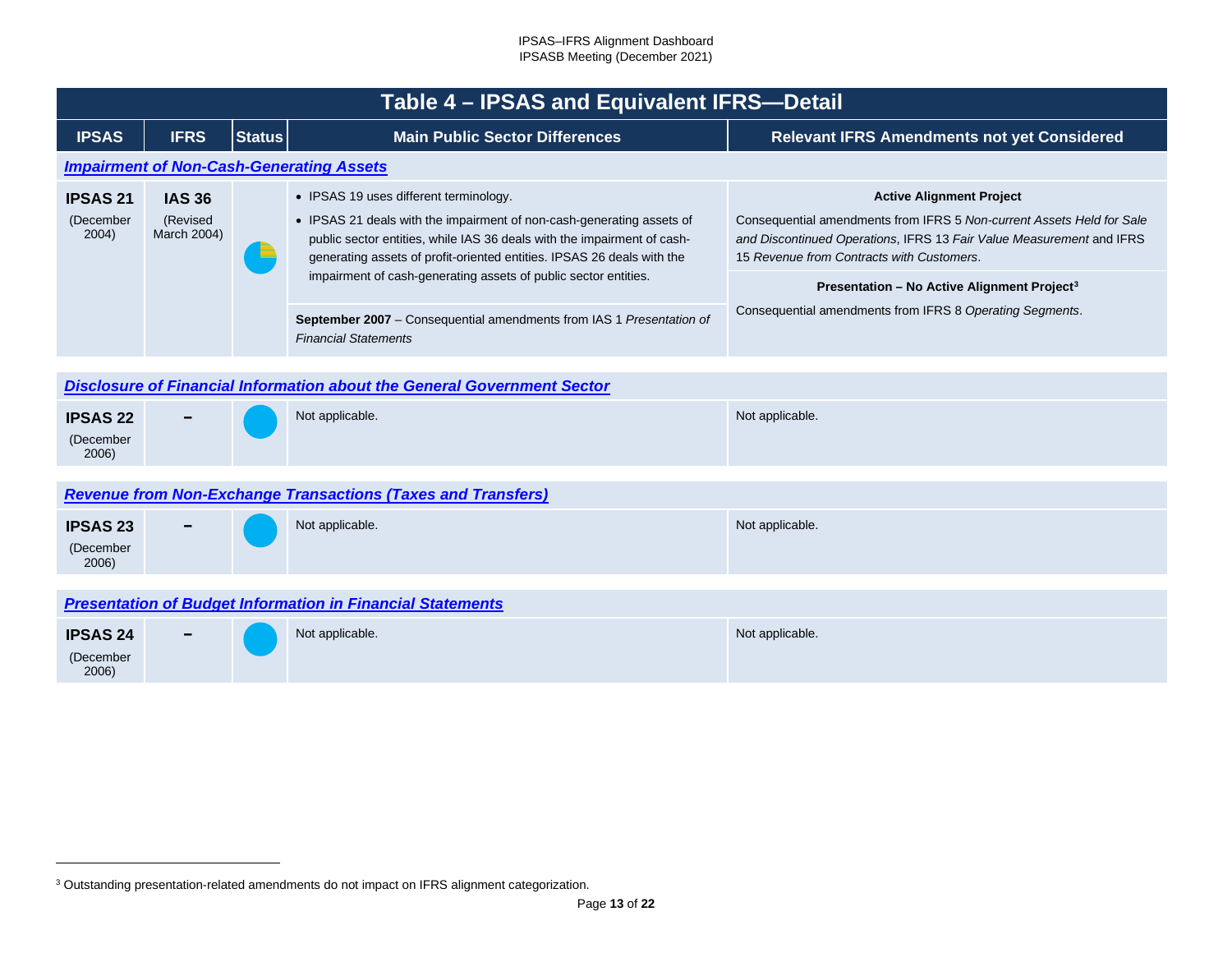<span id="page-12-4"></span><span id="page-12-1"></span><span id="page-12-0"></span>

|                                       | Table 4 - IPSAS and Equivalent IFRS-Detail |               |                                                                                                                                                                                                                                                                                                                                                                                                                 |                                                                                                                                                                                                                                                                                                                                                      |  |  |
|---------------------------------------|--------------------------------------------|---------------|-----------------------------------------------------------------------------------------------------------------------------------------------------------------------------------------------------------------------------------------------------------------------------------------------------------------------------------------------------------------------------------------------------------------|------------------------------------------------------------------------------------------------------------------------------------------------------------------------------------------------------------------------------------------------------------------------------------------------------------------------------------------------------|--|--|
| <b>IPSAS</b>                          | <b>IFRS</b>                                | <b>Status</b> | <b>Main Public Sector Differences</b>                                                                                                                                                                                                                                                                                                                                                                           | <b>Relevant IFRS Amendments not yet Considered</b>                                                                                                                                                                                                                                                                                                   |  |  |
|                                       |                                            |               | <b>Impairment of Non-Cash-Generating Assets</b>                                                                                                                                                                                                                                                                                                                                                                 |                                                                                                                                                                                                                                                                                                                                                      |  |  |
| <b>IPSAS 21</b><br>(December<br>2004) | <b>IAS 36</b><br>(Revised<br>March 2004)   |               | • IPSAS 19 uses different terminology.<br>• IPSAS 21 deals with the impairment of non-cash-generating assets of<br>public sector entities, while IAS 36 deals with the impairment of cash-<br>generating assets of profit-oriented entities. IPSAS 26 deals with the<br>impairment of cash-generating assets of public sector entities.<br>September 2007 - Consequential amendments from IAS 1 Presentation of | <b>Active Alignment Project</b><br>Consequential amendments from IFRS 5 Non-current Assets Held for Sale<br>and Discontinued Operations, IFRS 13 Fair Value Measurement and IFRS<br>15 Revenue from Contracts with Customers.<br>Presentation - No Active Alignment Project <sup>3</sup><br>Consequential amendments from IFRS 8 Operating Segments. |  |  |
|                                       | <b>Financial Statements</b>                |               |                                                                                                                                                                                                                                                                                                                                                                                                                 |                                                                                                                                                                                                                                                                                                                                                      |  |  |
|                                       |                                            |               | <b>Disclosure of Financial Information about the General Government Sector</b>                                                                                                                                                                                                                                                                                                                                  |                                                                                                                                                                                                                                                                                                                                                      |  |  |
| <b>IPSAS 22</b><br>(December<br>2006) |                                            |               | Not applicable.                                                                                                                                                                                                                                                                                                                                                                                                 | Not applicable.                                                                                                                                                                                                                                                                                                                                      |  |  |
|                                       |                                            |               | <b>Revenue from Non-Exchange Transactions (Taxes and Transfers)</b>                                                                                                                                                                                                                                                                                                                                             |                                                                                                                                                                                                                                                                                                                                                      |  |  |
| <b>IPSAS 23</b><br>(December<br>2006) |                                            |               | Not applicable.                                                                                                                                                                                                                                                                                                                                                                                                 | Not applicable.                                                                                                                                                                                                                                                                                                                                      |  |  |
|                                       |                                            |               |                                                                                                                                                                                                                                                                                                                                                                                                                 |                                                                                                                                                                                                                                                                                                                                                      |  |  |
|                                       |                                            |               | <b>Presentation of Budget Information in Financial Statements</b>                                                                                                                                                                                                                                                                                                                                               |                                                                                                                                                                                                                                                                                                                                                      |  |  |
| <b>IPSAS 24</b><br>(December<br>2006) |                                            |               | Not applicable.                                                                                                                                                                                                                                                                                                                                                                                                 | Not applicable.                                                                                                                                                                                                                                                                                                                                      |  |  |

<span id="page-12-3"></span><span id="page-12-2"></span><sup>&</sup>lt;sup>3</sup> Outstanding presentation-related amendments do not impact on IFRS alignment categorization.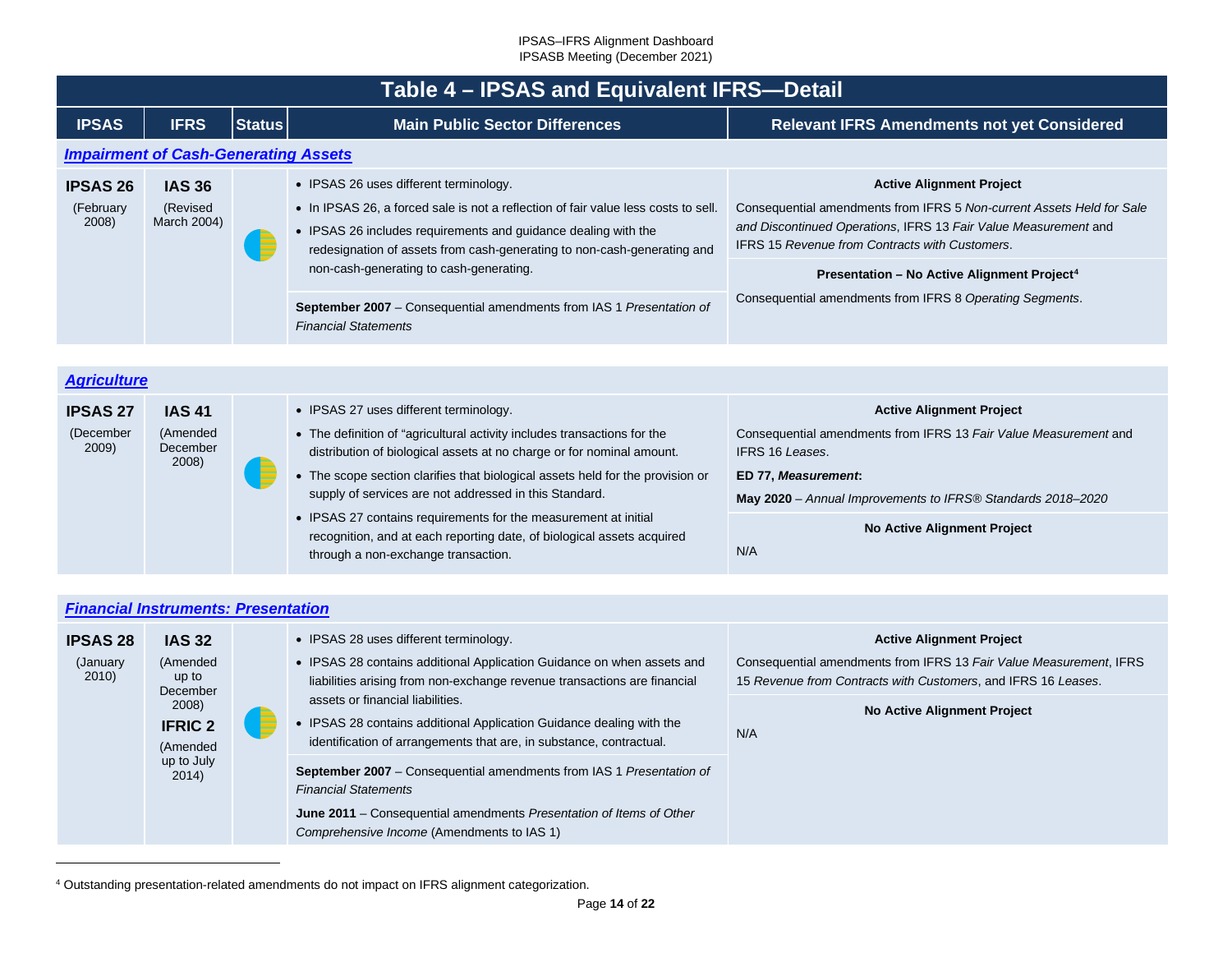<span id="page-13-0"></span>

|                                       | Table 4 – IPSAS and Equivalent IFRS-Detail  |               |                                                                                                                                                                                                                                                                                                                                                                                                                             |                                                                                                                                                                                                                                                                                                                                                             |  |
|---------------------------------------|---------------------------------------------|---------------|-----------------------------------------------------------------------------------------------------------------------------------------------------------------------------------------------------------------------------------------------------------------------------------------------------------------------------------------------------------------------------------------------------------------------------|-------------------------------------------------------------------------------------------------------------------------------------------------------------------------------------------------------------------------------------------------------------------------------------------------------------------------------------------------------------|--|
| <b>IPSAS</b>                          | <b>IFRS</b>                                 | <b>Status</b> | <b>Main Public Sector Differences</b>                                                                                                                                                                                                                                                                                                                                                                                       | <b>Relevant IFRS Amendments not yet Considered</b>                                                                                                                                                                                                                                                                                                          |  |
|                                       | <b>Impairment of Cash-Generating Assets</b> |               |                                                                                                                                                                                                                                                                                                                                                                                                                             |                                                                                                                                                                                                                                                                                                                                                             |  |
| <b>IPSAS 26</b><br>(February<br>2008) | <b>IAS 36</b><br>(Revised<br>March 2004)    |               | • IPSAS 26 uses different terminology.<br>• In IPSAS 26, a forced sale is not a reflection of fair value less costs to sell.<br>• IPSAS 26 includes requirements and guidance dealing with the<br>redesignation of assets from cash-generating to non-cash-generating and<br>non-cash-generating to cash-generating.<br>September 2007 - Consequential amendments from IAS 1 Presentation of<br><b>Financial Statements</b> | <b>Active Alignment Project</b><br>Consequential amendments from IFRS 5 Non-current Assets Held for Sale<br>and Discontinued Operations, IFRS 13 Fair Value Measurement and<br><b>IFRS 15 Revenue from Contracts with Customers.</b><br>Presentation - No Active Alignment Project <sup>4</sup><br>Consequential amendments from IFRS 8 Operating Segments. |  |
| <b>Agriculture</b>                    |                                             |               |                                                                                                                                                                                                                                                                                                                                                                                                                             |                                                                                                                                                                                                                                                                                                                                                             |  |
| <b>IPSAS 27</b><br>(December          | <b>IAS 41</b><br>(Amended                   |               | • IPSAS 27 uses different terminology.<br>• The definition of "agricultural activity includes transactions for the                                                                                                                                                                                                                                                                                                          | <b>Active Alignment Project</b><br>Consequential amendments from IFRS 13 Fair Value Measurement and                                                                                                                                                                                                                                                         |  |

<span id="page-13-3"></span>IFRS 16 *Leases*. **ED 77,** *Measurement***:**

N/A

**May 2020** – *Annual Improvements to IFRS® Standards 2018–2020*

**No Active Alignment Project**

distribution of biological assets at no charge or for nominal amount. • The scope section clarifies that biological assets held for the provision or

supply of services are not addressed in this Standard. • IPSAS 27 contains requirements for the measurement at initial recognition, and at each reporting date, of biological assets acquired

through a non-exchange transaction.

<span id="page-13-2"></span>

| <b>Financial Instruments: Presentation</b> |
|--------------------------------------------|
|--------------------------------------------|

December 2008)

<span id="page-13-1"></span>2009)

| <b>IPSAS 28</b><br>(January<br>2010) | <b>IAS 32</b><br>(Amended<br>up to<br>December             |  | • IPSAS 28 uses different terminology.<br>• IPSAS 28 contains additional Application Guidance on when assets and<br>liabilities arising from non-exchange revenue transactions are financial | <b>Active Alignment Project</b><br>Consequential amendments from IFRS 13 Fair Value Measurement, IFRS<br>15 Revenue from Contracts with Customers, and IFRS 16 Leases.                                                   |
|--------------------------------------|------------------------------------------------------------|--|----------------------------------------------------------------------------------------------------------------------------------------------------------------------------------------------|--------------------------------------------------------------------------------------------------------------------------------------------------------------------------------------------------------------------------|
|                                      | 2008)<br><b>IFRIC 2</b><br>(Amended<br>up to July<br>2014) |  | assets or financial liabilities.<br>• IPSAS 28 contains additional Application Guidance dealing with the<br>identification of arrangements that are, in substance, contractual.              | <b>No Active Alignment Project</b><br>N/A                                                                                                                                                                                |
|                                      |                                                            |  |                                                                                                                                                                                              | September 2007 - Consequential amendments from IAS 1 Presentation of<br><b>Financial Statements</b><br>June 2011 - Consequential amendments Presentation of Items of Other<br>Comprehensive Income (Amendments to IAS 1) |

<sup>4</sup> Outstanding presentation-related amendments do not impact on IFRS alignment categorization.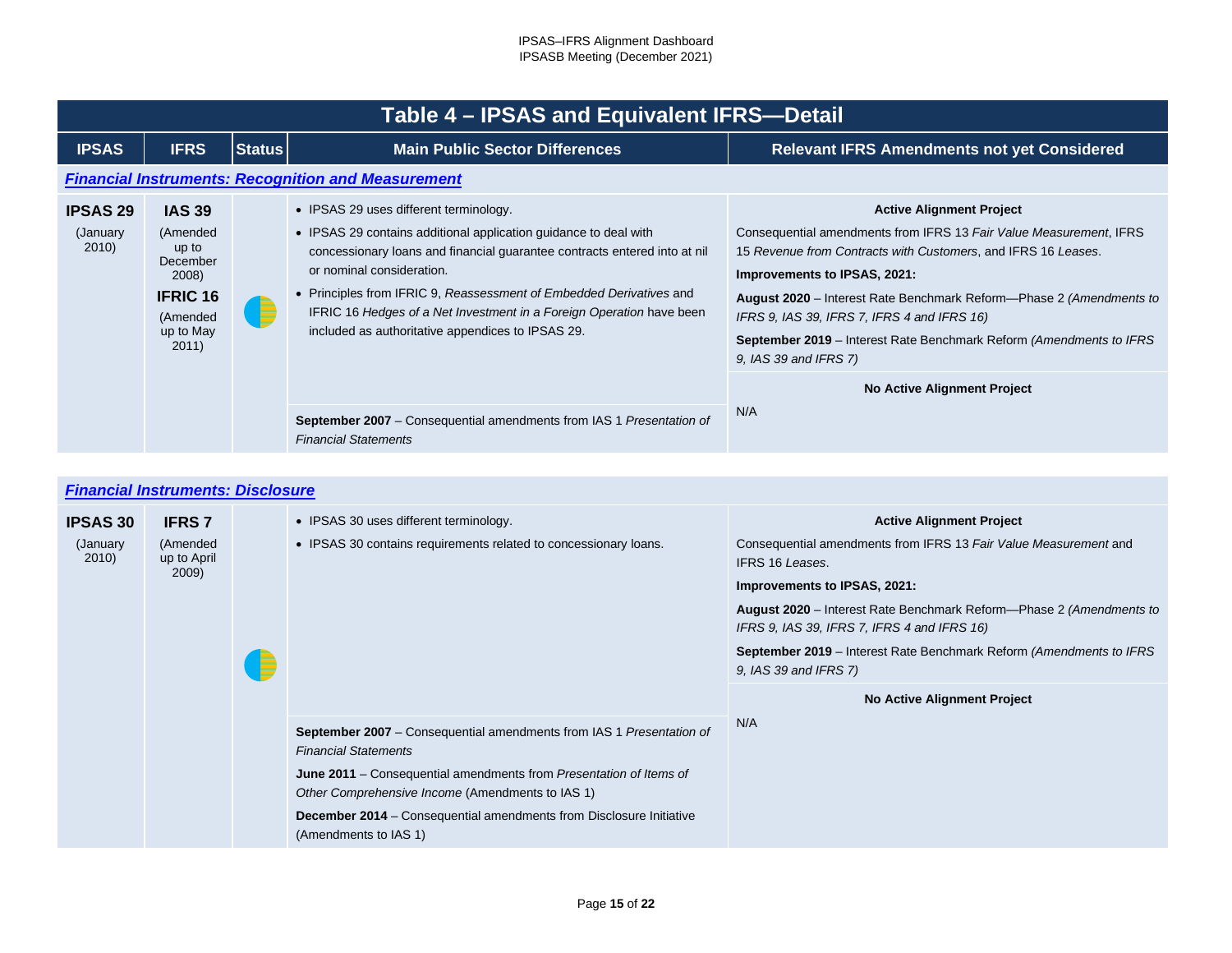<span id="page-14-0"></span>

|                                       | Table 4 – IPSAS and Equivalent IFRS-Detail                                                                   |               |                                                                                                                                                                                                                                                                                                                                                                                                                                                                                                                                        |                                                                                                                                                                                                                                                                                                                                                                                                                                     |  |  |
|---------------------------------------|--------------------------------------------------------------------------------------------------------------|---------------|----------------------------------------------------------------------------------------------------------------------------------------------------------------------------------------------------------------------------------------------------------------------------------------------------------------------------------------------------------------------------------------------------------------------------------------------------------------------------------------------------------------------------------------|-------------------------------------------------------------------------------------------------------------------------------------------------------------------------------------------------------------------------------------------------------------------------------------------------------------------------------------------------------------------------------------------------------------------------------------|--|--|
| <b>IPSAS</b>                          | <b>IFRS</b>                                                                                                  | <b>Status</b> | <b>Main Public Sector Differences</b>                                                                                                                                                                                                                                                                                                                                                                                                                                                                                                  | <b>Relevant IFRS Amendments not yet Considered</b>                                                                                                                                                                                                                                                                                                                                                                                  |  |  |
|                                       |                                                                                                              |               | <b>Financial Instruments: Recognition and Measurement</b>                                                                                                                                                                                                                                                                                                                                                                                                                                                                              |                                                                                                                                                                                                                                                                                                                                                                                                                                     |  |  |
| <b>IPSAS 29</b><br>(January)<br>2010) | <b>IAS 39</b><br>(Amended<br>up to<br>December<br>2008)<br><b>IFRIC 16</b><br>(Amended<br>up to May<br>2011) | E             | • IPSAS 29 uses different terminology.<br>• IPSAS 29 contains additional application guidance to deal with<br>concessionary loans and financial guarantee contracts entered into at nil<br>or nominal consideration.<br>• Principles from IFRIC 9, Reassessment of Embedded Derivatives and<br>IFRIC 16 Hedges of a Net Investment in a Foreign Operation have been<br>included as authoritative appendices to IPSAS 29.<br><b>September 2007</b> – Consequential amendments from IAS 1 Presentation of<br><b>Financial Statements</b> | <b>Active Alignment Project</b><br>Consequential amendments from IFRS 13 Fair Value Measurement, IFRS<br>15 Revenue from Contracts with Customers, and IFRS 16 Leases.<br>Improvements to IPSAS, 2021:<br>August 2020 – Interest Rate Benchmark Reform—Phase 2 (Amendments to<br>IFRS 9, IAS 39, IFRS 7, IFRS 4 and IFRS 16)<br><b>September 2019</b> – Interest Rate Benchmark Reform (Amendments to IFRS<br>9, IAS 39 and IFRS 7) |  |  |
|                                       |                                                                                                              |               |                                                                                                                                                                                                                                                                                                                                                                                                                                                                                                                                        | No Active Alignment Project<br>N/A                                                                                                                                                                                                                                                                                                                                                                                                  |  |  |

# <span id="page-14-1"></span>*[Financial Instruments: Disclosure](#page-2-25)*

| <b>IPSAS 30</b><br>(January)<br>2010) | <b>IFRS 7</b><br>(Amended<br>up to April<br>2009) |  | • IPSAS 30 uses different terminology.<br>• IPSAS 30 contains requirements related to concessionary loans.                                                                                                                                                                                                                           | <b>Active Alignment Project</b><br>Consequential amendments from IFRS 13 Fair Value Measurement and<br><b>IFRS 16 Leases.</b><br>Improvements to IPSAS, 2021:<br>August 2020 – Interest Rate Benchmark Reform—Phase 2 (Amendments to<br>IFRS 9, IAS 39, IFRS 7, IFRS 4 and IFRS 16)<br><b>September 2019</b> – Interest Rate Benchmark Reform (Amendments to IFRS<br>9, IAS 39 and IFRS 7) |
|---------------------------------------|---------------------------------------------------|--|--------------------------------------------------------------------------------------------------------------------------------------------------------------------------------------------------------------------------------------------------------------------------------------------------------------------------------------|--------------------------------------------------------------------------------------------------------------------------------------------------------------------------------------------------------------------------------------------------------------------------------------------------------------------------------------------------------------------------------------------|
|                                       |                                                   |  | September 2007 - Consequential amendments from IAS 1 Presentation of<br><b>Financial Statements</b><br>June 2011 – Consequential amendments from Presentation of Items of<br>Other Comprehensive Income (Amendments to IAS 1)<br><b>December 2014</b> – Consequential amendments from Disclosure Initiative<br>(Amendments to IAS 1) | <b>No Active Alignment Project</b><br>N/A                                                                                                                                                                                                                                                                                                                                                  |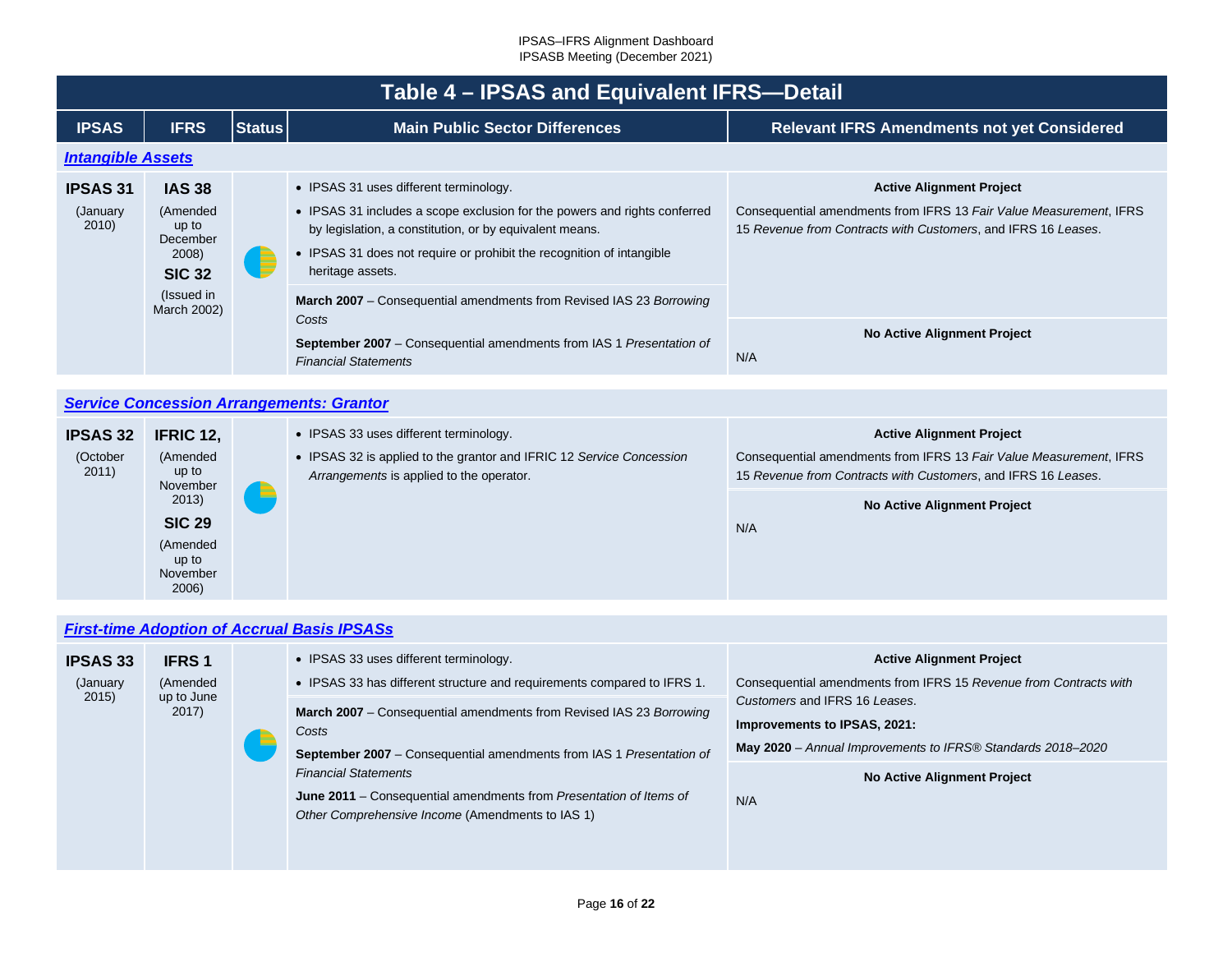<span id="page-15-0"></span>

|                                       | Table 4 - IPSAS and Equivalent IFRS-Detail                                                            |               |                                                                                                                                                                                                                                                                                                                                                           |                                                                                                                                                                        |  |  |
|---------------------------------------|-------------------------------------------------------------------------------------------------------|---------------|-----------------------------------------------------------------------------------------------------------------------------------------------------------------------------------------------------------------------------------------------------------------------------------------------------------------------------------------------------------|------------------------------------------------------------------------------------------------------------------------------------------------------------------------|--|--|
| <b>IPSAS</b>                          | <b>IFRS</b>                                                                                           | <b>Status</b> | <b>Main Public Sector Differences</b>                                                                                                                                                                                                                                                                                                                     | <b>Relevant IFRS Amendments not yet Considered</b>                                                                                                                     |  |  |
| <b>Intangible Assets</b>              |                                                                                                       |               |                                                                                                                                                                                                                                                                                                                                                           |                                                                                                                                                                        |  |  |
| <b>IPSAS 31</b><br>(January)<br>2010) | <b>IAS 38</b><br>(Amended<br>up to<br>December<br>2008)<br><b>SIC 32</b><br>(Issued in<br>March 2002) |               | • IPSAS 31 uses different terminology.<br>• IPSAS 31 includes a scope exclusion for the powers and rights conferred<br>by legislation, a constitution, or by equivalent means.<br>• IPSAS 31 does not require or prohibit the recognition of intangible<br>heritage assets.<br><b>March 2007</b> – Consequential amendments from Revised IAS 23 Borrowing | <b>Active Alignment Project</b><br>Consequential amendments from IFRS 13 Fair Value Measurement, IFRS<br>15 Revenue from Contracts with Customers, and IFRS 16 Leases. |  |  |
|                                       |                                                                                                       |               | Costs<br><b>September 2007</b> – Consequential amendments from IAS 1 Presentation of<br><b>Financial Statements</b>                                                                                                                                                                                                                                       | <b>No Active Alignment Project</b><br>N/A                                                                                                                              |  |  |

### <span id="page-15-1"></span>*[Service Concession Arrangements: Grantor](#page-2-27)*

| <b>IPSAS 32</b>   | IFRIC 12,                                               |  | • IPSAS 33 uses different terminology.                                                                           | <b>Active Alignment Project</b>                                                                                                     |
|-------------------|---------------------------------------------------------|--|------------------------------------------------------------------------------------------------------------------|-------------------------------------------------------------------------------------------------------------------------------------|
| (October<br>2011) | (Amended<br>up to<br>November<br>2013)<br><b>SIC 29</b> |  | • IPSAS 32 is applied to the grantor and IFRIC 12 Service Concession<br>Arrangements is applied to the operator. | Consequential amendments from IFRS 13 Fair Value Measurement, IFRS<br>15 Revenue from Contracts with Customers, and IFRS 16 Leases. |
|                   |                                                         |  |                                                                                                                  | <b>No Active Alignment Project</b>                                                                                                  |
|                   |                                                         |  |                                                                                                                  | N/A                                                                                                                                 |
|                   | (Amended<br>up to<br>November<br>2006)                  |  |                                                                                                                  |                                                                                                                                     |

## <span id="page-15-2"></span>*[First-time Adoption of Accrual Basis IPSASs](#page-2-28)*

| <b>IPSAS 33</b> | <b>IFRS1</b>        |  | • IPSAS 33 uses different terminology.                                                                                        | <b>Active Alignment Project</b>                                                                                              |  |  |
|-----------------|---------------------|--|-------------------------------------------------------------------------------------------------------------------------------|------------------------------------------------------------------------------------------------------------------------------|--|--|
| (January        | (Amended            |  | • IPSAS 33 has different structure and requirements compared to IFRS 1.                                                       | Consequential amendments from IFRS 15 Revenue from Contracts with                                                            |  |  |
| 2015)           | up to June<br>2017) |  | March 2007 – Consequential amendments from Revised IAS 23 Borrowing<br>Costs                                                  | Customers and IFRS 16 Leases.<br>Improvements to IPSAS, 2021:<br>May 2020 - Annual Improvements to IFRS® Standards 2018-2020 |  |  |
|                 |                     |  | September 2007 - Consequential amendments from IAS 1 Presentation of                                                          |                                                                                                                              |  |  |
|                 |                     |  | <b>Financial Statements</b>                                                                                                   | <b>No Active Alignment Project</b>                                                                                           |  |  |
|                 |                     |  | <b>June 2011</b> – Consequential amendments from Presentation of Items of<br>Other Comprehensive Income (Amendments to IAS 1) | N/A                                                                                                                          |  |  |
|                 |                     |  |                                                                                                                               |                                                                                                                              |  |  |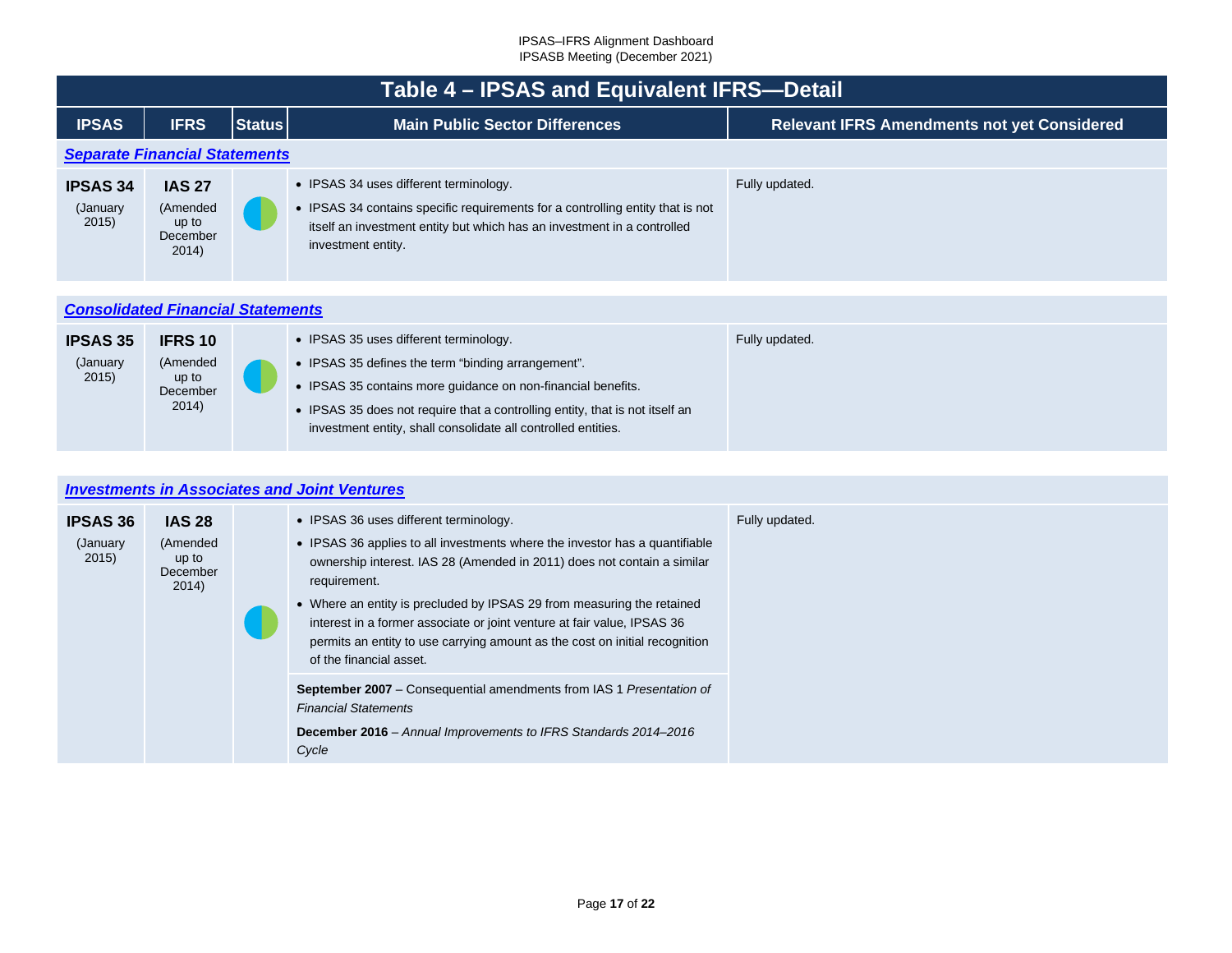<span id="page-16-1"></span>

|                                      | Table 4 - IPSAS and Equivalent IFRS-Detail               |               |                                                                                                                                                                                                                                                                                                               |                                                    |  |  |  |  |  |  |  |
|--------------------------------------|----------------------------------------------------------|---------------|---------------------------------------------------------------------------------------------------------------------------------------------------------------------------------------------------------------------------------------------------------------------------------------------------------------|----------------------------------------------------|--|--|--|--|--|--|--|
| <b>IPSAS</b>                         | <b>IFRS</b>                                              | <b>Status</b> | <b>Main Public Sector Differences</b>                                                                                                                                                                                                                                                                         | <b>Relevant IFRS Amendments not yet Considered</b> |  |  |  |  |  |  |  |
|                                      | <b>Separate Financial Statements</b>                     |               |                                                                                                                                                                                                                                                                                                               |                                                    |  |  |  |  |  |  |  |
| <b>IPSAS 34</b><br>(January<br>2015) | <b>IAS 27</b><br>(Amended<br>up to<br>December<br>2014)  |               | • IPSAS 34 uses different terminology.<br>• IPSAS 34 contains specific requirements for a controlling entity that is not<br>itself an investment entity but which has an investment in a controlled<br>investment entity.                                                                                     | Fully updated.                                     |  |  |  |  |  |  |  |
|                                      |                                                          |               |                                                                                                                                                                                                                                                                                                               |                                                    |  |  |  |  |  |  |  |
|                                      | <b>Consolidated Financial Statements</b>                 |               |                                                                                                                                                                                                                                                                                                               |                                                    |  |  |  |  |  |  |  |
| <b>IPSAS 35</b><br>(January<br>2015) | <b>IFRS 10</b><br>(Amended<br>up to<br>December<br>2014) |               | • IPSAS 35 uses different terminology.<br>• IPSAS 35 defines the term "binding arrangement".<br>• IPSAS 35 contains more guidance on non-financial benefits.<br>• IPSAS 35 does not require that a controlling entity, that is not itself an<br>investment entity, shall consolidate all controlled entities. | Fully updated.                                     |  |  |  |  |  |  |  |

## <span id="page-16-2"></span><span id="page-16-0"></span>*[Investments in Associates and Joint Ventures](#page-2-30)*

| <b>IPSAS 36</b><br>(January)<br>2015) | <b>IAS 28</b><br>(Amended<br>up to<br>December<br>2014) | • IPSAS 36 uses different terminology.<br>• IPSAS 36 applies to all investments where the investor has a quantifiable<br>ownership interest. IAS 28 (Amended in 2011) does not contain a similar<br>requirement.<br>• Where an entity is precluded by IPSAS 29 from measuring the retained<br>interest in a former associate or joint venture at fair value, IPSAS 36<br>permits an entity to use carrying amount as the cost on initial recognition<br>of the financial asset. | Fully updated. |
|---------------------------------------|---------------------------------------------------------|---------------------------------------------------------------------------------------------------------------------------------------------------------------------------------------------------------------------------------------------------------------------------------------------------------------------------------------------------------------------------------------------------------------------------------------------------------------------------------|----------------|
|                                       |                                                         | <b>September 2007</b> – Consequential amendments from IAS 1 Presentation of<br><b>Financial Statements</b><br>December 2016 - Annual Improvements to IFRS Standards 2014-2016<br>Cycle                                                                                                                                                                                                                                                                                          |                |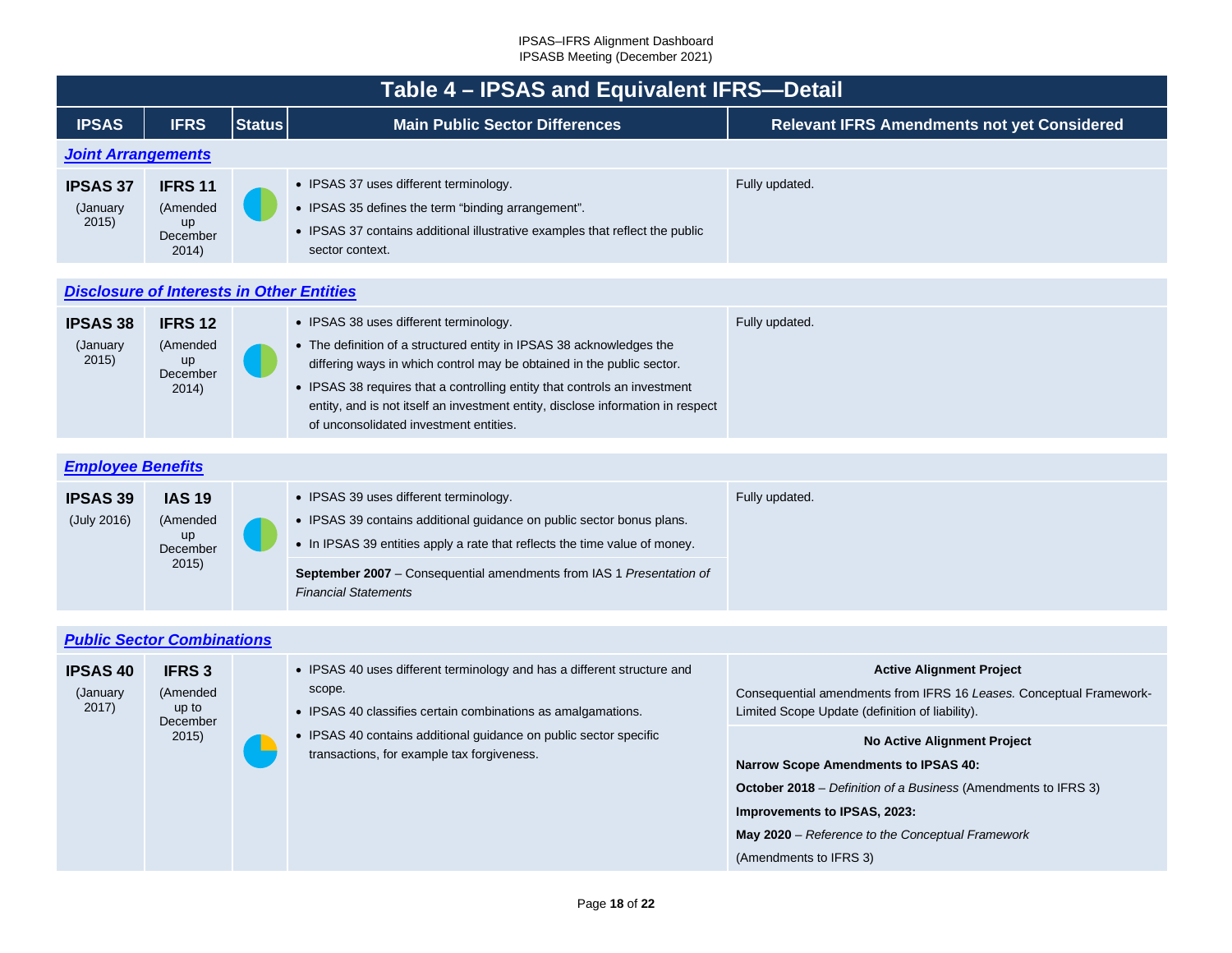<span id="page-17-3"></span><span id="page-17-2"></span><span id="page-17-1"></span><span id="page-17-0"></span>

|                                                  | Table 4 - IPSAS and Equivalent IFRS-Detail                  |               |                                                                                                                                                                                                                                                                                                                                                                                                   |                                                                                                                                                                                                                                                                          |  |  |  |  |  |
|--------------------------------------------------|-------------------------------------------------------------|---------------|---------------------------------------------------------------------------------------------------------------------------------------------------------------------------------------------------------------------------------------------------------------------------------------------------------------------------------------------------------------------------------------------------|--------------------------------------------------------------------------------------------------------------------------------------------------------------------------------------------------------------------------------------------------------------------------|--|--|--|--|--|
| <b>IPSAS</b>                                     | <b>IFRS</b>                                                 | <b>Status</b> | <b>Main Public Sector Differences</b>                                                                                                                                                                                                                                                                                                                                                             | <b>Relevant IFRS Amendments not yet Considered</b>                                                                                                                                                                                                                       |  |  |  |  |  |
| <b>Joint Arrangements</b>                        |                                                             |               |                                                                                                                                                                                                                                                                                                                                                                                                   |                                                                                                                                                                                                                                                                          |  |  |  |  |  |
| <b>IPSAS 37</b><br>(January<br>2015)             | <b>IFRS 11</b><br>(Amended<br>up<br>December<br>2014)       |               | • IPSAS 37 uses different terminology.<br>• IPSAS 35 defines the term "binding arrangement".<br>• IPSAS 37 contains additional illustrative examples that reflect the public<br>sector context.                                                                                                                                                                                                   | Fully updated.                                                                                                                                                                                                                                                           |  |  |  |  |  |
| <b>Disclosure of Interests in Other Entities</b> |                                                             |               |                                                                                                                                                                                                                                                                                                                                                                                                   |                                                                                                                                                                                                                                                                          |  |  |  |  |  |
| <b>IPSAS 38</b><br>(January<br>2015)             | <b>IFRS 12</b><br>(Amended<br>up<br>December<br>2014)       |               | • IPSAS 38 uses different terminology.<br>• The definition of a structured entity in IPSAS 38 acknowledges the<br>differing ways in which control may be obtained in the public sector.<br>• IPSAS 38 requires that a controlling entity that controls an investment<br>entity, and is not itself an investment entity, disclose information in respect<br>of unconsolidated investment entities. | Fully updated.                                                                                                                                                                                                                                                           |  |  |  |  |  |
| <b>Employee Benefits</b>                         |                                                             |               |                                                                                                                                                                                                                                                                                                                                                                                                   |                                                                                                                                                                                                                                                                          |  |  |  |  |  |
| <b>IPSAS 39</b><br>(July 2016)                   | <b>IAS 19</b><br>(Amended<br><b>up</b><br>December<br>2015) |               | • IPSAS 39 uses different terminology.<br>• IPSAS 39 contains additional guidance on public sector bonus plans.<br>• In IPSAS 39 entities apply a rate that reflects the time value of money.<br>September 2007 - Consequential amendments from IAS 1 Presentation of<br><b>Financial Statements</b>                                                                                              | Fully updated.                                                                                                                                                                                                                                                           |  |  |  |  |  |
|                                                  |                                                             |               |                                                                                                                                                                                                                                                                                                                                                                                                   |                                                                                                                                                                                                                                                                          |  |  |  |  |  |
| <b>Public Sector Combinations</b>                |                                                             |               |                                                                                                                                                                                                                                                                                                                                                                                                   |                                                                                                                                                                                                                                                                          |  |  |  |  |  |
| <b>IPSAS 40</b><br>(January<br>2017)             | <b>IFRS3</b><br>(Amended<br>up to                           |               | • IPSAS 40 uses different terminology and has a different structure and<br>scope.<br>• IPSAS 40 classifies certain combinations as amalgamations.                                                                                                                                                                                                                                                 | <b>Active Alignment Project</b><br>Consequential amendments from IFRS 16 Leases. Conceptual Framework-<br>Limited Scope Update (definition of liability).                                                                                                                |  |  |  |  |  |
|                                                  | December<br>2015)                                           |               | • IPSAS 40 contains additional guidance on public sector specific<br>transactions, for example tax forgiveness.                                                                                                                                                                                                                                                                                   | <b>No Active Alignment Project</b><br><b>Narrow Scope Amendments to IPSAS 40:</b><br><b>October 2018</b> – Definition of a Business (Amendments to IFRS 3)<br>Improvements to IPSAS, 2023:<br>May 2020 - Reference to the Conceptual Framework<br>(Amendments to IFRS 3) |  |  |  |  |  |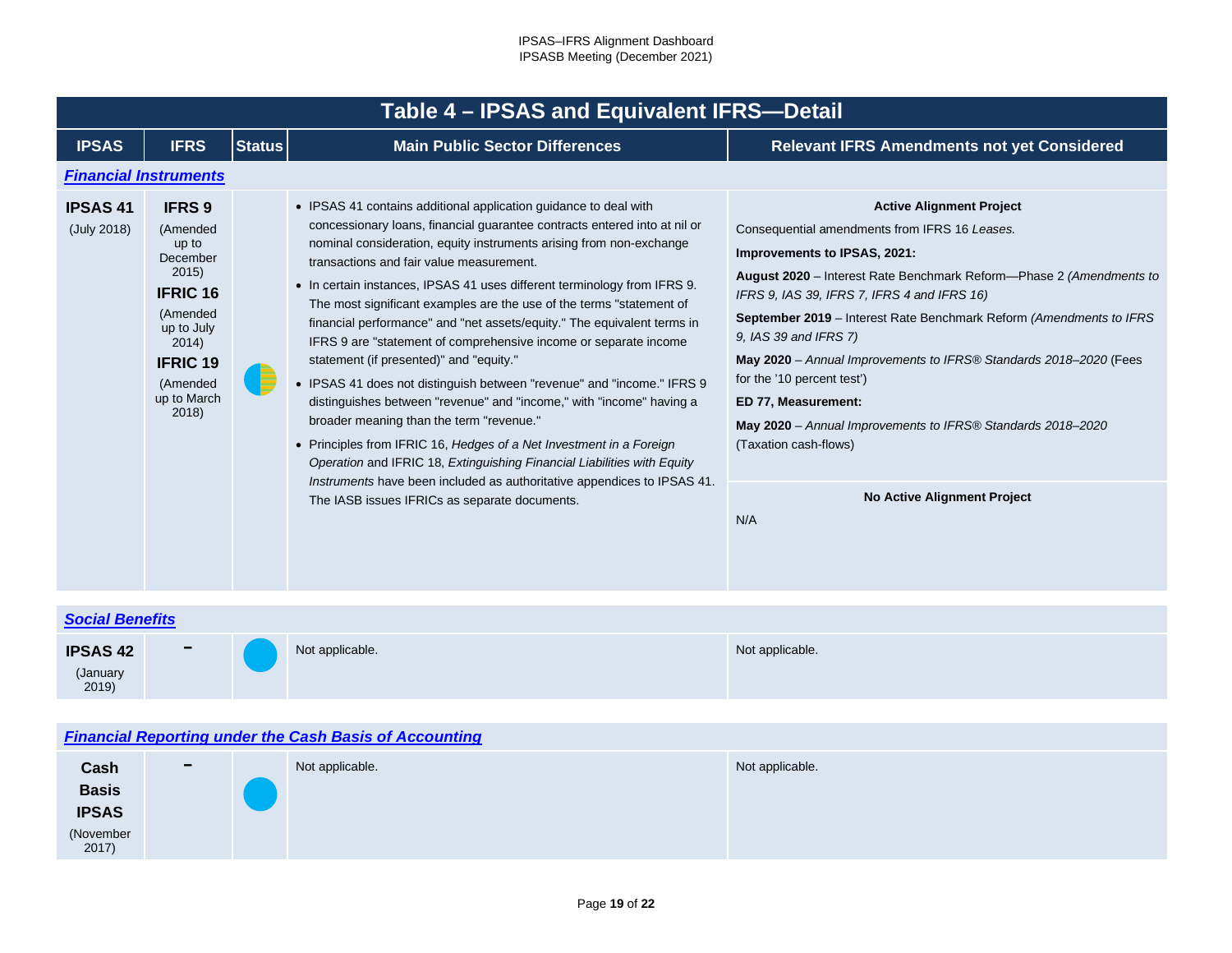<span id="page-18-0"></span>

|                                     | Table 4 - IPSAS and Equivalent IFRS-Detail                                                                                                                          |        |                                                                                                                                                                                                                                                                                                                                                                                                                                                                                                                                                                                                                                                                                                                                                                                                                                                                                                                                                                                                                                                                                            |                                                                                                                                                                                                                                                                                                                                                                                                                                                                                                                                                                                                              |  |  |  |  |  |  |  |
|-------------------------------------|---------------------------------------------------------------------------------------------------------------------------------------------------------------------|--------|--------------------------------------------------------------------------------------------------------------------------------------------------------------------------------------------------------------------------------------------------------------------------------------------------------------------------------------------------------------------------------------------------------------------------------------------------------------------------------------------------------------------------------------------------------------------------------------------------------------------------------------------------------------------------------------------------------------------------------------------------------------------------------------------------------------------------------------------------------------------------------------------------------------------------------------------------------------------------------------------------------------------------------------------------------------------------------------------|--------------------------------------------------------------------------------------------------------------------------------------------------------------------------------------------------------------------------------------------------------------------------------------------------------------------------------------------------------------------------------------------------------------------------------------------------------------------------------------------------------------------------------------------------------------------------------------------------------------|--|--|--|--|--|--|--|
| <b>IPSAS</b>                        | <b>IFRS</b>                                                                                                                                                         | Status | <b>Main Public Sector Differences</b>                                                                                                                                                                                                                                                                                                                                                                                                                                                                                                                                                                                                                                                                                                                                                                                                                                                                                                                                                                                                                                                      | <b>Relevant IFRS Amendments not yet Considered</b>                                                                                                                                                                                                                                                                                                                                                                                                                                                                                                                                                           |  |  |  |  |  |  |  |
|                                     | <b>Financial Instruments</b>                                                                                                                                        |        |                                                                                                                                                                                                                                                                                                                                                                                                                                                                                                                                                                                                                                                                                                                                                                                                                                                                                                                                                                                                                                                                                            |                                                                                                                                                                                                                                                                                                                                                                                                                                                                                                                                                                                                              |  |  |  |  |  |  |  |
| <b>IPSAS41</b><br>(July 2018)       | <b>IFRS 9</b><br>(Amended<br>up to<br>December<br>2015)<br><b>IFRIC 16</b><br>(Amended<br>up to July<br>2014)<br><b>IFRIC 19</b><br>(Amended<br>up to March<br>2018 |        | • IPSAS 41 contains additional application guidance to deal with<br>concessionary loans, financial guarantee contracts entered into at nil or<br>nominal consideration, equity instruments arising from non-exchange<br>transactions and fair value measurement.<br>• In certain instances, IPSAS 41 uses different terminology from IFRS 9.<br>The most significant examples are the use of the terms "statement of<br>financial performance" and "net assets/equity." The equivalent terms in<br>IFRS 9 are "statement of comprehensive income or separate income<br>statement (if presented)" and "equity."<br>• IPSAS 41 does not distinguish between "revenue" and "income." IFRS 9<br>distinguishes between "revenue" and "income," with "income" having a<br>broader meaning than the term "revenue."<br>• Principles from IFRIC 16, Hedges of a Net Investment in a Foreign<br>Operation and IFRIC 18, Extinguishing Financial Liabilities with Equity<br>Instruments have been included as authoritative appendices to IPSAS 41.<br>The IASB issues IFRICs as separate documents. | <b>Active Alignment Project</b><br>Consequential amendments from IFRS 16 Leases.<br>Improvements to IPSAS, 2021:<br>August 2020 - Interest Rate Benchmark Reform-Phase 2 (Amendments to<br>IFRS 9, IAS 39, IFRS 7, IFRS 4 and IFRS 16)<br><b>September 2019</b> – Interest Rate Benchmark Reform (Amendments to IFRS<br>9, IAS 39 and IFRS 7)<br>May 2020 - Annual Improvements to IFRS® Standards 2018-2020 (Fees<br>for the '10 percent test')<br>ED 77, Measurement:<br>May 2020 - Annual Improvements to IFRS® Standards 2018-2020<br>(Taxation cash-flows)<br><b>No Active Alignment Project</b><br>N/A |  |  |  |  |  |  |  |
| <b>Social Benefits</b>              |                                                                                                                                                                     |        |                                                                                                                                                                                                                                                                                                                                                                                                                                                                                                                                                                                                                                                                                                                                                                                                                                                                                                                                                                                                                                                                                            |                                                                                                                                                                                                                                                                                                                                                                                                                                                                                                                                                                                                              |  |  |  |  |  |  |  |
| <b>IPSAS 42</b><br>(January<br>2019 |                                                                                                                                                                     |        | Not applicable.                                                                                                                                                                                                                                                                                                                                                                                                                                                                                                                                                                                                                                                                                                                                                                                                                                                                                                                                                                                                                                                                            | Not applicable.                                                                                                                                                                                                                                                                                                                                                                                                                                                                                                                                                                                              |  |  |  |  |  |  |  |

### <span id="page-18-2"></span><span id="page-18-1"></span>*[Financial Reporting under the Cash Basis of Accounting](#page-2-37)*

| Cash               | $\overline{\phantom{0}}$ | Not applicable. | Not applicable. |
|--------------------|--------------------------|-----------------|-----------------|
| <b>Basis</b>       |                          |                 |                 |
| <b>IPSAS</b>       |                          |                 |                 |
| (November<br>2017) |                          |                 |                 |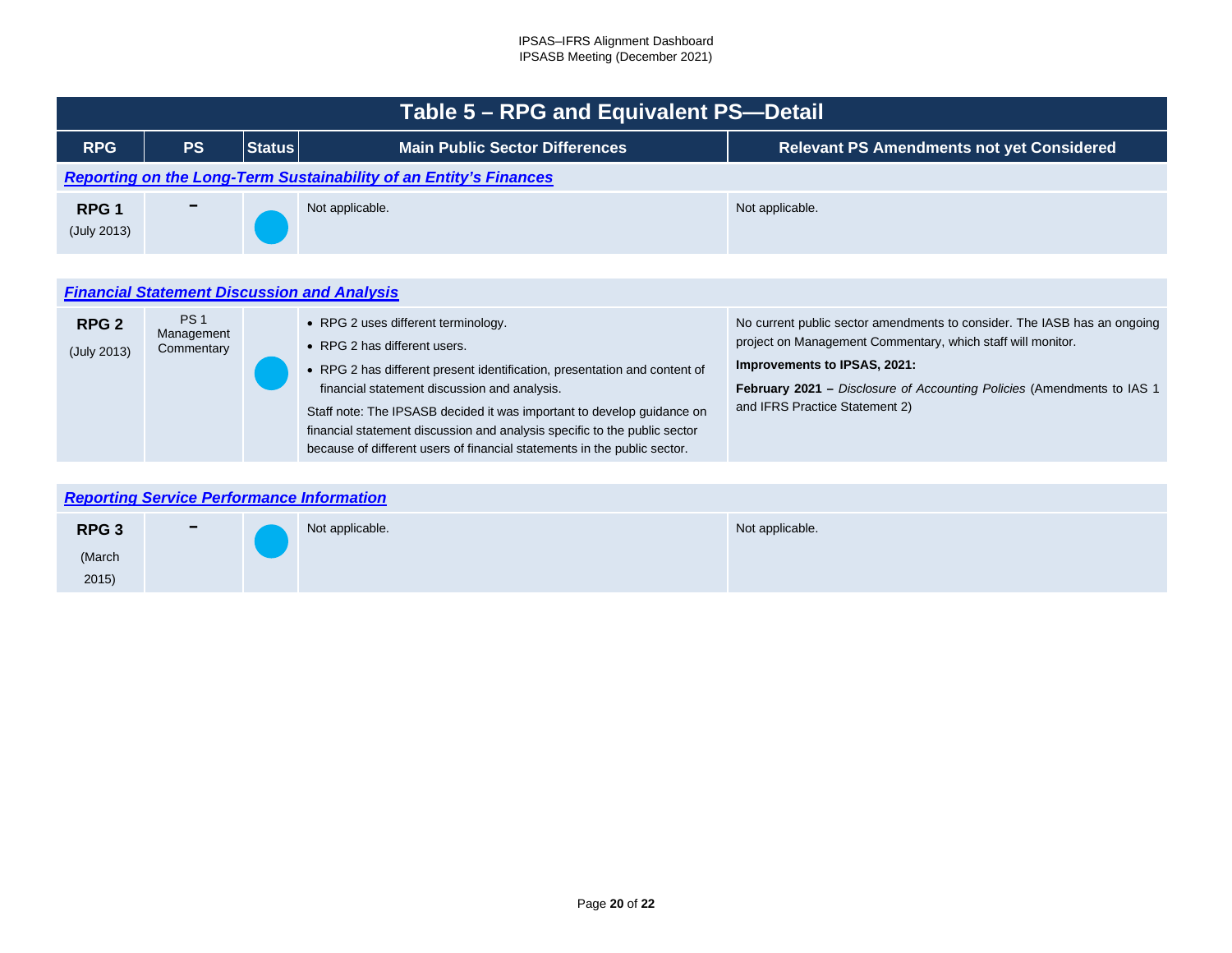<span id="page-19-2"></span><span id="page-19-1"></span><span id="page-19-0"></span>

|                                 | Table 5 – RPG and Equivalent PS--Detail          |               |                                                                                                                                                                                                                                                                                                                                                                                                                                     |                                                                                                                                                                                                                                                                                             |  |  |  |  |  |  |  |
|---------------------------------|--------------------------------------------------|---------------|-------------------------------------------------------------------------------------------------------------------------------------------------------------------------------------------------------------------------------------------------------------------------------------------------------------------------------------------------------------------------------------------------------------------------------------|---------------------------------------------------------------------------------------------------------------------------------------------------------------------------------------------------------------------------------------------------------------------------------------------|--|--|--|--|--|--|--|
| <b>RPG</b>                      | <b>PS</b>                                        | <b>Status</b> | <b>Main Public Sector Differences</b>                                                                                                                                                                                                                                                                                                                                                                                               | <b>Relevant PS Amendments not yet Considered</b>                                                                                                                                                                                                                                            |  |  |  |  |  |  |  |
|                                 |                                                  |               | <b>Reporting on the Long-Term Sustainability of an Entity's Finances</b>                                                                                                                                                                                                                                                                                                                                                            |                                                                                                                                                                                                                                                                                             |  |  |  |  |  |  |  |
| RPG <sub>1</sub><br>(July 2013) |                                                  |               | Not applicable.                                                                                                                                                                                                                                                                                                                                                                                                                     | Not applicable.                                                                                                                                                                                                                                                                             |  |  |  |  |  |  |  |
|                                 |                                                  |               | <b>Financial Statement Discussion and Analysis</b>                                                                                                                                                                                                                                                                                                                                                                                  |                                                                                                                                                                                                                                                                                             |  |  |  |  |  |  |  |
| RPG <sub>2</sub><br>(July 2013) | PS <sub>1</sub><br>Management<br>Commentary      |               | • RPG 2 uses different terminology.<br>• RPG 2 has different users.<br>• RPG 2 has different present identification, presentation and content of<br>financial statement discussion and analysis.<br>Staff note: The IPSASB decided it was important to develop guidance on<br>financial statement discussion and analysis specific to the public sector<br>because of different users of financial statements in the public sector. | No current public sector amendments to consider. The IASB has an ongoing<br>project on Management Commentary, which staff will monitor.<br>Improvements to IPSAS, 2021:<br><b>February 2021</b> – Disclosure of Accounting Policies (Amendments to IAS 1)<br>and IFRS Practice Statement 2) |  |  |  |  |  |  |  |
|                                 | <b>Donorting Corvice Dorformance Information</b> |               |                                                                                                                                                                                                                                                                                                                                                                                                                                     |                                                                                                                                                                                                                                                                                             |  |  |  |  |  |  |  |

| <b>Reporting Service Performance Information</b> |                          |  |                 |                 |  |  |  |  |  |  |
|--------------------------------------------------|--------------------------|--|-----------------|-----------------|--|--|--|--|--|--|
| RPG <sub>3</sub>                                 | $\overline{\phantom{m}}$ |  | Not applicable. | Not applicable. |  |  |  |  |  |  |
| (March                                           |                          |  |                 |                 |  |  |  |  |  |  |
| 2015)                                            |                          |  |                 |                 |  |  |  |  |  |  |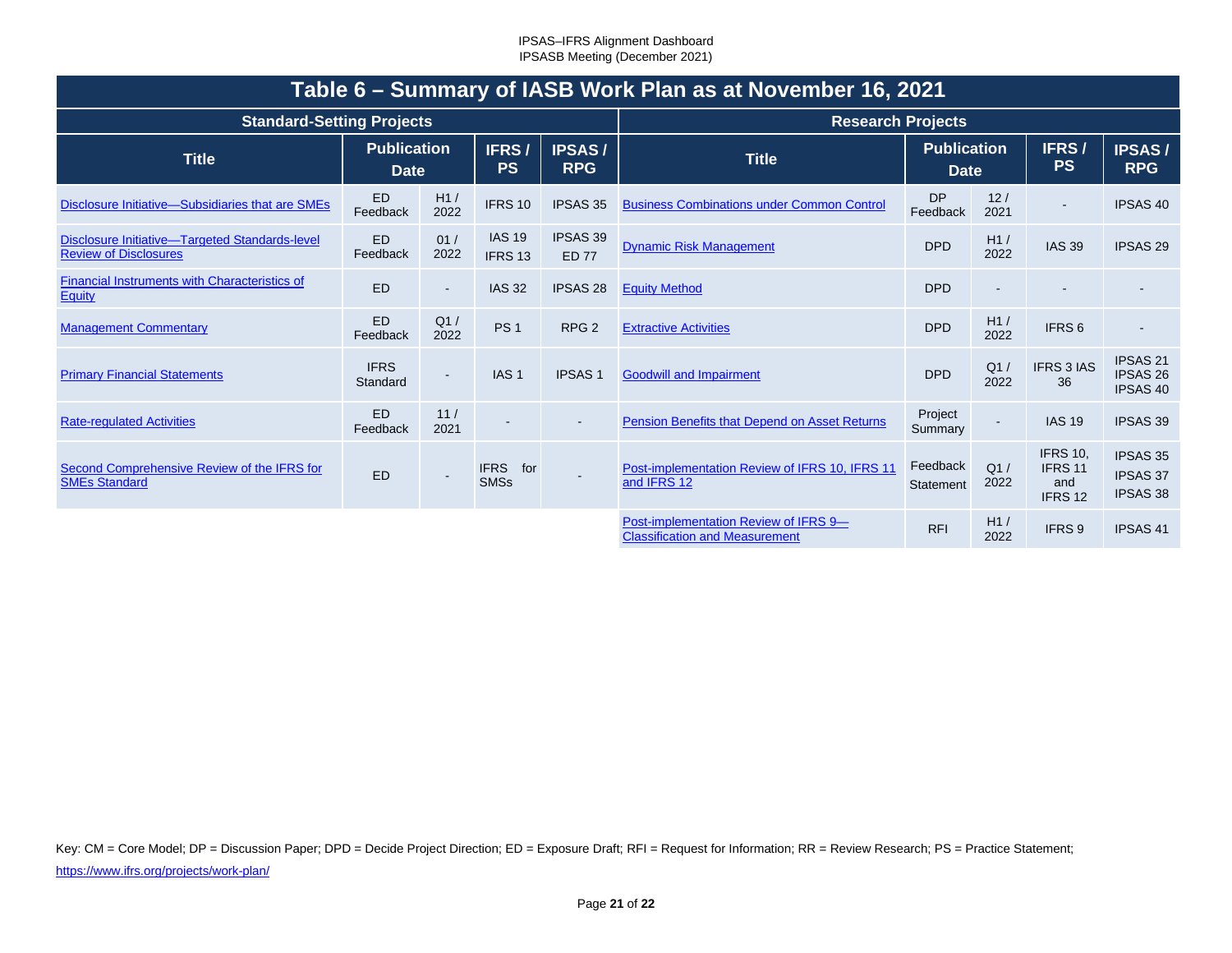<span id="page-20-0"></span>

| Table 6 - Summary of IASB Work Plan as at November 16, 2021                    |                                   |                |                                   |                                 |                                                                                |                                   |             |                                                                |                                                       |  |  |
|--------------------------------------------------------------------------------|-----------------------------------|----------------|-----------------------------------|---------------------------------|--------------------------------------------------------------------------------|-----------------------------------|-------------|----------------------------------------------------------------|-------------------------------------------------------|--|--|
| <b>Standard-Setting Projects</b>                                               |                                   |                |                                   | <b>Research Projects</b>        |                                                                                |                                   |             |                                                                |                                                       |  |  |
| <b>Title</b>                                                                   | <b>Publication</b><br><b>Date</b> |                | IFRS/<br><b>PS</b>                | <b>IPSAS/</b><br><b>RPG</b>     | <b>Title</b>                                                                   | <b>Publication</b><br><b>Date</b> |             | IFRS/<br><b>PS</b>                                             | <b>IPSAS/</b><br><b>RPG</b>                           |  |  |
| Disclosure Initiative-Subsidiaries that are SMEs                               | <b>ED</b><br>Feedback             | H1/<br>2022    | IFRS 10                           | <b>IPSAS 35</b>                 | <b>Business Combinations under Common Control</b>                              | <b>DP</b><br>Feedback             | 12/<br>2021 |                                                                | <b>IPSAS 40</b>                                       |  |  |
| Disclosure Initiative-Targeted Standards-level<br><b>Review of Disclosures</b> | <b>ED</b><br>Feedback             | 01/<br>2022    | <b>IAS 19</b><br>IFRS 13          | <b>IPSAS 39</b><br><b>ED 77</b> | <b>Dynamic Risk Management</b>                                                 | <b>DPD</b>                        | H1/<br>2022 | <b>IAS 39</b>                                                  | <b>IPSAS 29</b>                                       |  |  |
| Financial Instruments with Characteristics of<br>Equity                        | <b>ED</b>                         | $\blacksquare$ | <b>IAS 32</b>                     | <b>IPSAS 28</b>                 | <b>Equity Method</b>                                                           | <b>DPD</b>                        |             |                                                                |                                                       |  |  |
| <b>Management Commentary</b>                                                   | <b>ED</b><br>Feedback             | Q1/<br>2022    | PS <sub>1</sub>                   | RPG <sub>2</sub>                | <b>Extractive Activities</b>                                                   | <b>DPD</b>                        | H1/<br>2022 | IFRS <sub>6</sub>                                              |                                                       |  |  |
| <b>Primary Financial Statements</b>                                            | <b>IFRS</b><br>Standard           | $\sim$         | IAS <sub>1</sub>                  | <b>IPSAS1</b>                   | <b>Goodwill and Impairment</b>                                                 | <b>DPD</b>                        | Q1/<br>2022 | IFRS 3 IAS<br>36                                               | <b>IPSAS 21</b><br><b>IPSAS 26</b><br>IPSAS 40        |  |  |
| <b>Rate-regulated Activities</b>                                               | <b>ED</b><br>Feedback             | 11/<br>2021    |                                   |                                 | <b>Pension Benefits that Depend on Asset Returns</b>                           | Project<br>Summary                |             | <b>IAS 19</b>                                                  | <b>IPSAS 39</b>                                       |  |  |
| Second Comprehensive Review of the IFRS for<br><b>SMEs Standard</b>            | <b>ED</b>                         |                | <b>IFRS</b><br>for<br><b>SMSs</b> | $\sim$                          | Post-implementation Review of IFRS 10, IFRS 11<br>and IFRS 12                  | Feedback<br>Statement             | Q1/<br>2022 | <b>IFRS 10.</b><br><b>IFRS 11</b><br>and<br>IFRS <sub>12</sub> | <b>IPSAS 35</b><br><b>IPSAS 37</b><br><b>IPSAS 38</b> |  |  |
|                                                                                |                                   |                |                                   |                                 | Post-implementation Review of IFRS 9-<br><b>Classification and Measurement</b> | <b>RFI</b>                        | H1/<br>2022 | IFRS 9                                                         | <b>IPSAS 41</b>                                       |  |  |

Key: CM = Core Model; DP = Discussion Paper; DPD = Decide Project Direction; ED = Exposure Draft; RFI = Request for Information; RR = Review Research; PS = Practice Statement; <https://www.ifrs.org/projects/work-plan/>